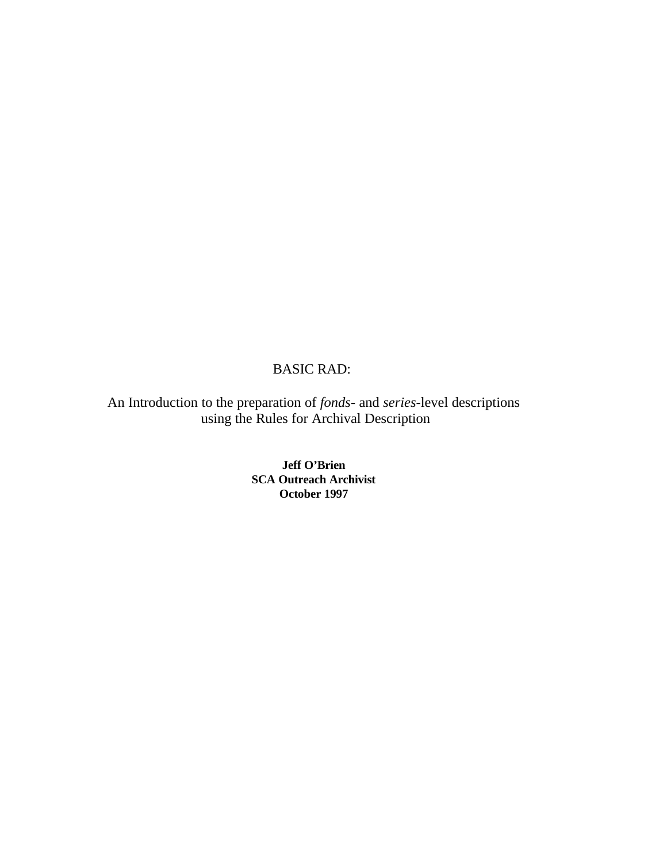# BASIC RAD:

An Introduction to the preparation of *fonds-* and *series-*level descriptions using the Rules for Archival Description

> **Jeff O'Brien SCA Outreach Archivist October 1997**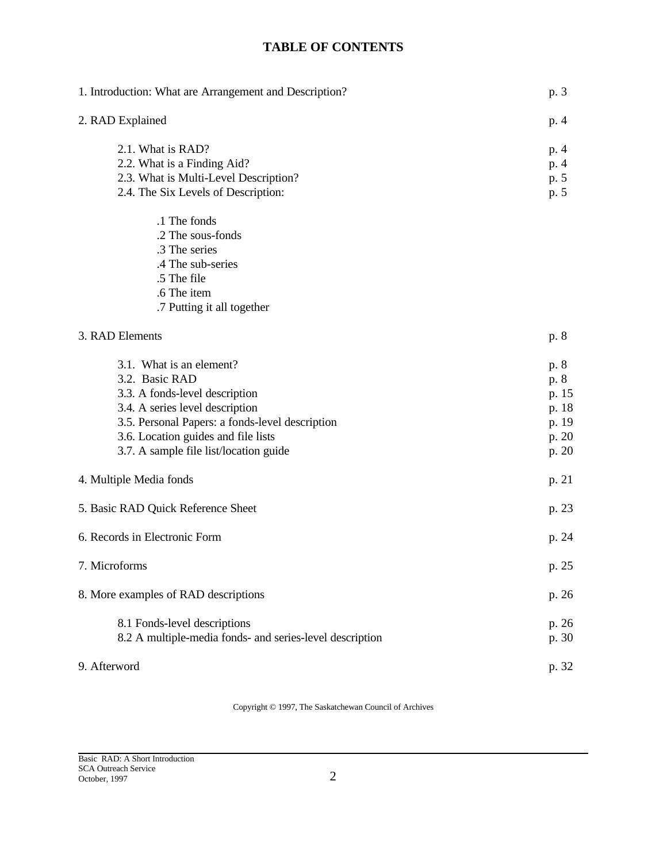# **TABLE OF CONTENTS**

| 1. Introduction: What are Arrangement and Description?                                                                                                                                                                                              |                                                           |
|-----------------------------------------------------------------------------------------------------------------------------------------------------------------------------------------------------------------------------------------------------|-----------------------------------------------------------|
| 2. RAD Explained                                                                                                                                                                                                                                    | p. 4                                                      |
| 2.1. What is RAD?<br>2.2. What is a Finding Aid?<br>2.3. What is Multi-Level Description?<br>2.4. The Six Levels of Description:                                                                                                                    | p. 4<br>p. 4<br>p. 5<br>p. 5                              |
| .1 The fonds<br>.2 The sous-fonds<br>.3 The series<br>.4 The sub-series<br>.5 The file<br>.6 The item<br>.7 Putting it all together                                                                                                                 |                                                           |
| 3. RAD Elements                                                                                                                                                                                                                                     | p. 8                                                      |
| 3.1. What is an element?<br>3.2. Basic RAD<br>3.3. A fonds-level description<br>3.4. A series level description<br>3.5. Personal Papers: a fonds-level description<br>3.6. Location guides and file lists<br>3.7. A sample file list/location guide | p. 8<br>p. 8<br>p. 15<br>p. 18<br>p. 19<br>p. 20<br>p. 20 |
| 4. Multiple Media fonds                                                                                                                                                                                                                             | p. 21                                                     |
| 5. Basic RAD Quick Reference Sheet                                                                                                                                                                                                                  | p. 23                                                     |
| 6. Records in Electronic Form                                                                                                                                                                                                                       | p. 24                                                     |
| 7. Microforms                                                                                                                                                                                                                                       | p. 25                                                     |
| 8. More examples of RAD descriptions                                                                                                                                                                                                                | p. 26                                                     |
| 8.1 Fonds-level descriptions<br>8.2 A multiple-media fonds- and series-level description                                                                                                                                                            | p. 26<br>p. 30                                            |
| 9. Afterword                                                                                                                                                                                                                                        | p. 32                                                     |

Copyright © 1997, The Saskatchewan Council of Archives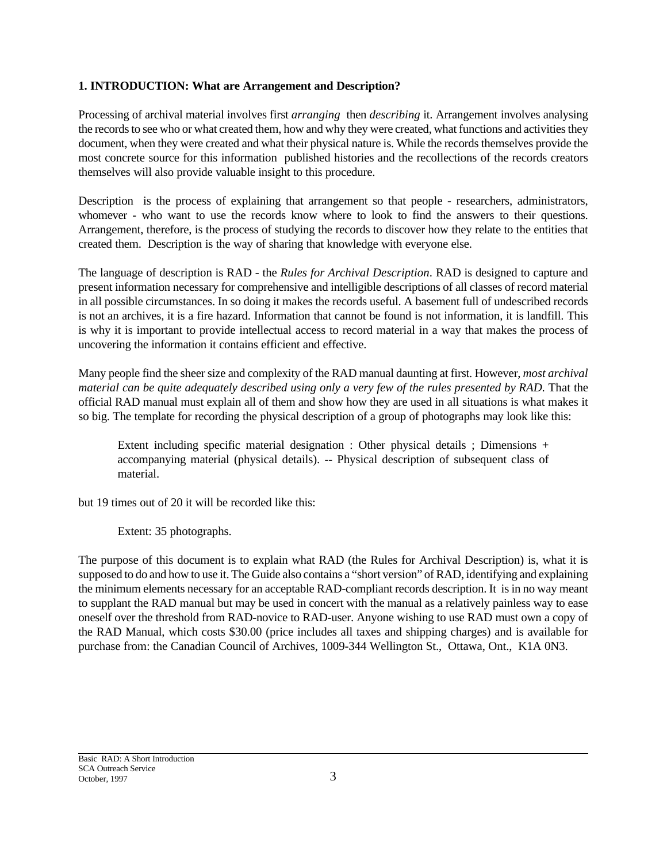## **1. INTRODUCTION: What are Arrangement and Description?**

Processing of archival material involves first *arranging* then *describing* it. Arrangement involves analysing the records to see who or what created them, how and why they were created, what functions and activities they document, when they were created and what their physical nature is. While the records themselves provide the most concrete source for this information published histories and the recollections of the records creators themselves will also provide valuable insight to this procedure.

Description is the process of explaining that arrangement so that people - researchers, administrators, whomever - who want to use the records know where to look to find the answers to their questions. Arrangement, therefore, is the process of studying the records to discover how they relate to the entities that created them. Description is the way of sharing that knowledge with everyone else.

The language of description is RAD - the *Rules for Archival Description*. RAD is designed to capture and present information necessary for comprehensive and intelligible descriptions of all classes of record material in all possible circumstances. In so doing it makes the records useful. A basement full of undescribed records is not an archives, it is a fire hazard. Information that cannot be found is not information, it is landfill. This is why it is important to provide intellectual access to record material in a way that makes the process of uncovering the information it contains efficient and effective.

Many people find the sheer size and complexity of the RAD manual daunting at first. However, *most archival material can be quite adequately described using only a very few of the rules presented by RAD.* That the official RAD manual must explain all of them and show how they are used in all situations is what makes it so big. The template for recording the physical description of a group of photographs may look like this:

Extent including specific material designation : Other physical details ; Dimensions + accompanying material (physical details). -- Physical description of subsequent class of material.

but 19 times out of 20 it will be recorded like this:

Extent: 35 photographs.

The purpose of this document is to explain what RAD (the Rules for Archival Description) is, what it is supposed to do and how to use it. The Guide also contains a "short version" of RAD, identifying and explaining the minimum elements necessary for an acceptable RAD-compliant records description. It is in no way meant to supplant the RAD manual but may be used in concert with the manual as a relatively painless way to ease oneself over the threshold from RAD-novice to RAD-user. Anyone wishing to use RAD must own a copy of the RAD Manual, which costs \$30.00 (price includes all taxes and shipping charges) and is available for purchase from: the Canadian Council of Archives, 1009-344 Wellington St., Ottawa, Ont., K1A 0N3.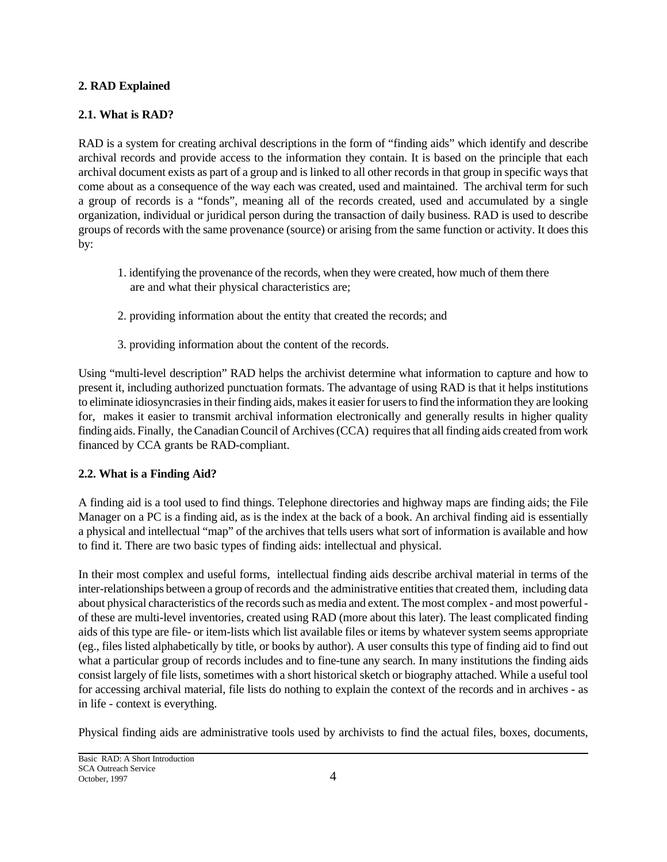## **2. RAD Explained**

## **2.1. What is RAD?**

RAD is a system for creating archival descriptions in the form of "finding aids" which identify and describe archival records and provide access to the information they contain. It is based on the principle that each archival document exists as part of a group and is linked to all other records in that group in specific ways that come about as a consequence of the way each was created, used and maintained. The archival term for such a group of records is a "fonds", meaning all of the records created, used and accumulated by a single organization, individual or juridical person during the transaction of daily business. RAD is used to describe groups of records with the same provenance (source) or arising from the same function or activity. It does this by:

- 1. identifying the provenance of the records, when they were created, how much of them there are and what their physical characteristics are;
- 2. providing information about the entity that created the records; and
- 3. providing information about the content of the records.

Using "multi-level description" RAD helps the archivist determine what information to capture and how to present it, including authorized punctuation formats. The advantage of using RAD is that it helps institutions to eliminate idiosyncrasies in their finding aids, makes it easier for users to find the information they are looking for, makes it easier to transmit archival information electronically and generally results in higher quality finding aids. Finally, the Canadian Council of Archives (CCA) requires that all finding aids created from work financed by CCA grants be RAD-compliant.

## **2.2. What is a Finding Aid?**

A finding aid is a tool used to find things. Telephone directories and highway maps are finding aids; the File Manager on a PC is a finding aid, as is the index at the back of a book. An archival finding aid is essentially a physical and intellectual "map" of the archives that tells users what sort of information is available and how to find it. There are two basic types of finding aids: intellectual and physical.

In their most complex and useful forms, intellectual finding aids describe archival material in terms of the inter-relationships between a group of records and the administrative entities that created them, including data about physical characteristics of the records such as media and extent. The most complex - and most powerful of these are multi-level inventories, created using RAD (more about this later). The least complicated finding aids of this type are file- or item-lists which list available files or items by whatever system seems appropriate (eg., files listed alphabetically by title, or books by author). A user consults this type of finding aid to find out what a particular group of records includes and to fine-tune any search. In many institutions the finding aids consist largely of file lists, sometimes with a short historical sketch or biography attached. While a useful tool for accessing archival material, file lists do nothing to explain the context of the records and in archives - as in life - context is everything.

Physical finding aids are administrative tools used by archivists to find the actual files, boxes, documents,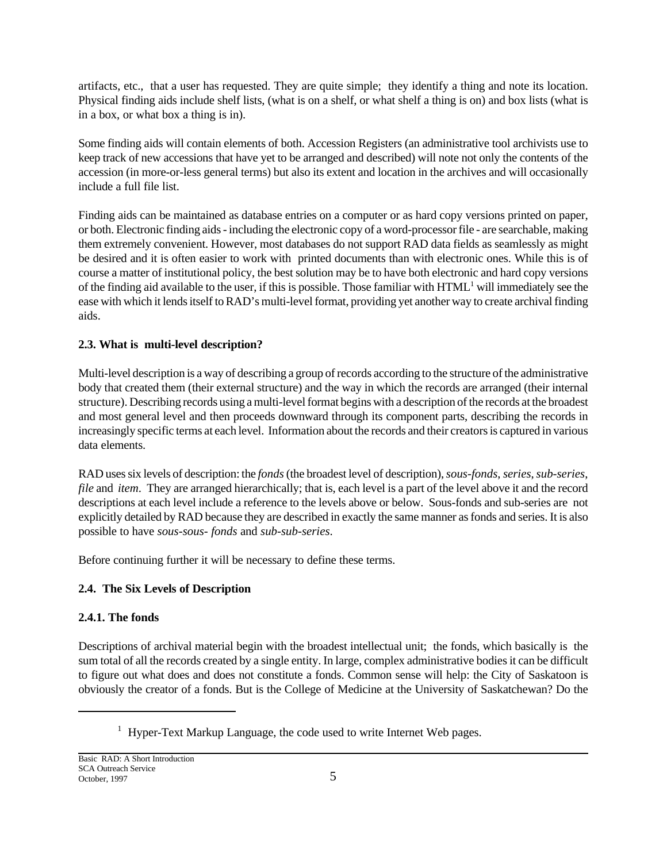artifacts, etc., that a user has requested. They are quite simple; they identify a thing and note its location. Physical finding aids include shelf lists, (what is on a shelf, or what shelf a thing is on) and box lists (what is in a box, or what box a thing is in).

Some finding aids will contain elements of both. Accession Registers (an administrative tool archivists use to keep track of new accessions that have yet to be arranged and described) will note not only the contents of the accession (in more-or-less general terms) but also its extent and location in the archives and will occasionally include a full file list.

Finding aids can be maintained as database entries on a computer or as hard copy versions printed on paper, or both. Electronic finding aids - including the electronic copy of a word-processor file - are searchable, making them extremely convenient. However, most databases do not support RAD data fields as seamlessly as might be desired and it is often easier to work with printed documents than with electronic ones. While this is of course a matter of institutional policy, the best solution may be to have both electronic and hard copy versions of the finding aid available to the user, if this is possible. Those familiar with  $HTML<sup>1</sup>$  will immediately see the ease with which it lends itself to RAD's multi-level format, providing yet another way to create archival finding aids.

## **2.3. What is multi-level description?**

Multi-level description is a way of describing a group of records according to the structure of the administrative body that created them (their external structure) and the way in which the records are arranged (their internal structure). Describing records using a multi-level format begins with a description of the records at the broadest and most general level and then proceeds downward through its component parts, describing the records in increasingly specific terms at each level. Information about the records and their creators is captured in various data elements.

RAD uses six levels of description: the *fonds* (the broadest level of description), *sous-fonds*, *series*,*sub-series*, *file* and *item*. They are arranged hierarchically; that is, each level is a part of the level above it and the record descriptions at each level include a reference to the levels above or below. Sous-fonds and sub-series are not explicitly detailed by RAD because they are described in exactly the same manner as fonds and series. It is also possible to have *sous-sous- fonds* and *sub-sub-series*.

Before continuing further it will be necessary to define these terms.

## **2.4. The Six Levels of Description**

## **2.4.1. The fonds**

Descriptions of archival material begin with the broadest intellectual unit; the fonds, which basically is the sum total of all the records created by a single entity. In large, complex administrative bodies it can be difficult to figure out what does and does not constitute a fonds. Common sense will help: the City of Saskatoon is obviously the creator of a fonds. But is the College of Medicine at the University of Saskatchewan? Do the

<sup>&</sup>lt;sup>1</sup> Hyper-Text Markup Language, the code used to write Internet Web pages.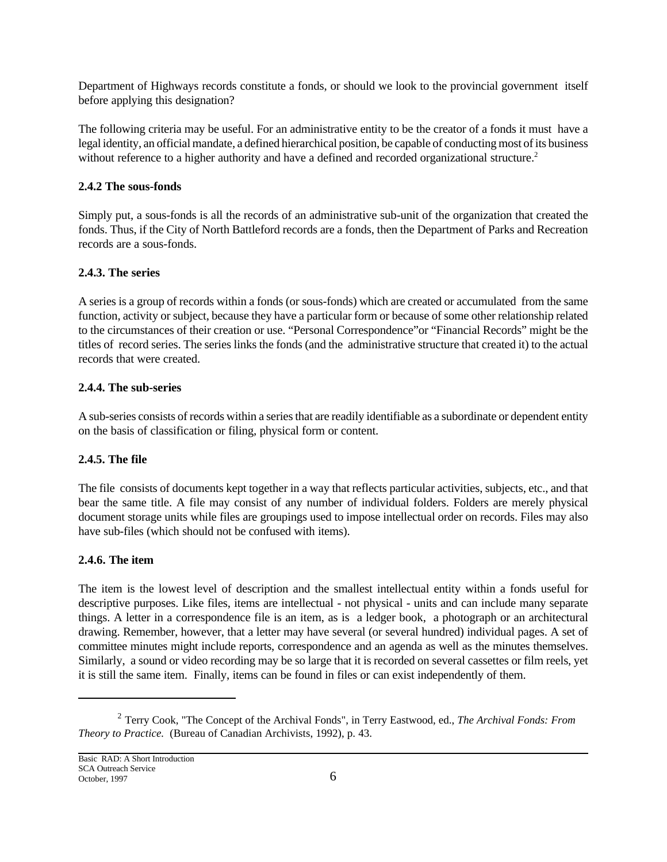Department of Highways records constitute a fonds, or should we look to the provincial government itself before applying this designation?

The following criteria may be useful. For an administrative entity to be the creator of a fonds it must have a legal identity, an official mandate, a defined hierarchical position, be capable of conducting most of its business without reference to a higher authority and have a defined and recorded organizational structure.<sup>2</sup>

## **2.4.2 The sous-fonds**

Simply put, a sous-fonds is all the records of an administrative sub-unit of the organization that created the fonds. Thus, if the City of North Battleford records are a fonds, then the Department of Parks and Recreation records are a sous-fonds.

## **2.4.3. The series**

A series is a group of records within a fonds (or sous-fonds) which are created or accumulated from the same function, activity or subject, because they have a particular form or because of some other relationship related to the circumstances of their creation or use. "Personal Correspondence"or "Financial Records" might be the titles of record series. The series links the fonds (and the administrative structure that created it) to the actual records that were created.

## **2.4.4. The sub-series**

A sub-series consists of records within a series that are readily identifiable as a subordinate or dependent entity on the basis of classification or filing, physical form or content.

## **2.4.5. The file**

The file consists of documents kept together in a way that reflects particular activities, subjects, etc., and that bear the same title. A file may consist of any number of individual folders. Folders are merely physical document storage units while files are groupings used to impose intellectual order on records. Files may also have sub-files (which should not be confused with items).

## **2.4.6. The item**

The item is the lowest level of description and the smallest intellectual entity within a fonds useful for descriptive purposes. Like files, items are intellectual - not physical - units and can include many separate things. A letter in a correspondence file is an item, as is a ledger book, a photograph or an architectural drawing. Remember, however, that a letter may have several (or several hundred) individual pages. A set of committee minutes might include reports, correspondence and an agenda as well as the minutes themselves. Similarly, a sound or video recording may be so large that it is recorded on several cassettes or film reels, yet it is still the same item. Finally, items can be found in files or can exist independently of them.

<sup>2</sup> Terry Cook, "The Concept of the Archival Fonds", in Terry Eastwood, ed., *The Archival Fonds: From Theory to Practice.* (Bureau of Canadian Archivists, 1992), p. 43.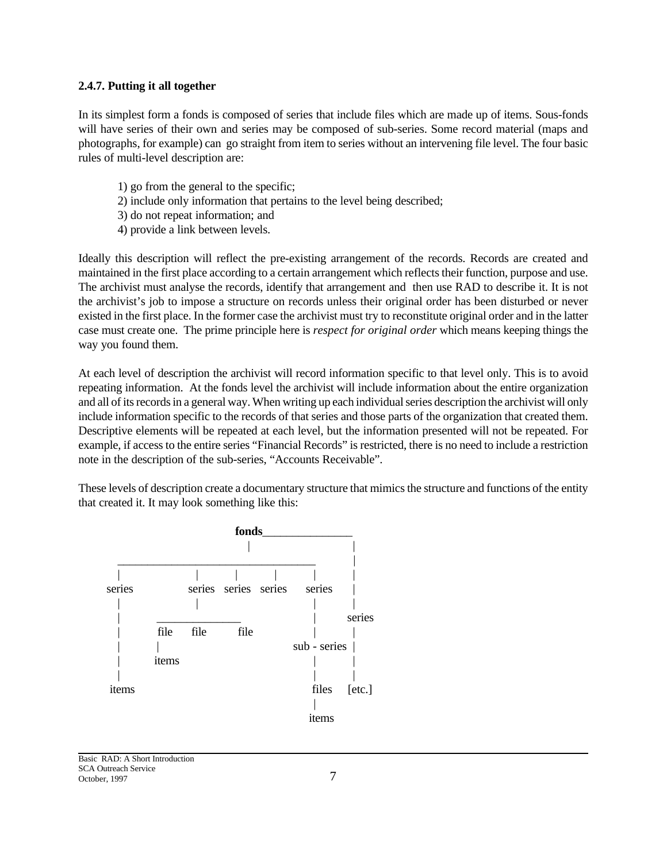### **2.4.7. Putting it all together**

In its simplest form a fonds is composed of series that include files which are made up of items. Sous-fonds will have series of their own and series may be composed of sub-series. Some record material (maps and photographs, for example) can go straight from item to series without an intervening file level. The four basic rules of multi-level description are:

- 1) go from the general to the specific;
- 2) include only information that pertains to the level being described;
- 3) do not repeat information; and
- 4) provide a link between levels.

Ideally this description will reflect the pre-existing arrangement of the records. Records are created and maintained in the first place according to a certain arrangement which reflects their function, purpose and use. The archivist must analyse the records, identify that arrangement and then use RAD to describe it. It is not the archivist's job to impose a structure on records unless their original order has been disturbed or never existed in the first place. In the former case the archivist must try to reconstitute original order and in the latter case must create one. The prime principle here is *respect for original order* which means keeping things the way you found them.

At each level of description the archivist will record information specific to that level only. This is to avoid repeating information. At the fonds level the archivist will include information about the entire organization and all of its records in a general way. When writing up each individual series description the archivist will only include information specific to the records of that series and those parts of the organization that created them. Descriptive elements will be repeated at each level, but the information presented will not be repeated. For example, if access to the entire series "Financial Records" is restricted, there is no need to include a restriction note in the description of the sub-series, "Accounts Receivable".

These levels of description create a documentary structure that mimics the structure and functions of the entity that created it. It may look something like this:

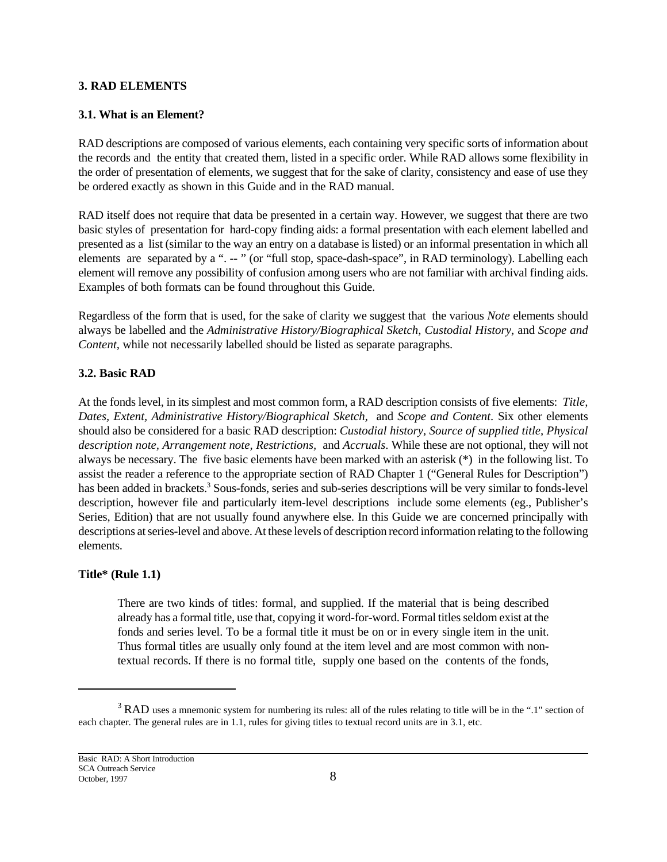### **3. RAD ELEMENTS**

### **3.1. What is an Element?**

RAD descriptions are composed of various elements, each containing very specific sorts of information about the records and the entity that created them, listed in a specific order. While RAD allows some flexibility in the order of presentation of elements, we suggest that for the sake of clarity, consistency and ease of use they be ordered exactly as shown in this Guide and in the RAD manual.

RAD itself does not require that data be presented in a certain way. However, we suggest that there are two basic styles of presentation for hard-copy finding aids: a formal presentation with each element labelled and presented as a list (similar to the way an entry on a database is listed) or an informal presentation in which all elements are separated by a ". -- " (or "full stop, space-dash-space", in RAD terminology). Labelling each element will remove any possibility of confusion among users who are not familiar with archival finding aids. Examples of both formats can be found throughout this Guide.

Regardless of the form that is used, for the sake of clarity we suggest that the various *Note* elements should always be labelled and the *Administrative History/Biographical Sketch*, *Custodial History*, and *Scope and Content,* while not necessarily labelled should be listed as separate paragraphs.

### **3.2. Basic RAD**

At the fonds level, in its simplest and most common form, a RAD description consists of five elements: *Title, Dates, Extent, Administrative History/Biographical Sketch,* and *Scope and Content*. Six other elements should also be considered for a basic RAD description: *Custodial history, Source of supplied title, Physical description note, Arrangement note, Restrictions,* and *Accruals*. While these are not optional, they will not always be necessary. The five basic elements have been marked with an asterisk (\*) in the following list. To assist the reader a reference to the appropriate section of RAD Chapter 1 ("General Rules for Description") has been added in brackets.<sup>3</sup> Sous-fonds, series and sub-series descriptions will be very similar to fonds-level description, however file and particularly item-level descriptions include some elements (eg., Publisher's Series, Edition) that are not usually found anywhere else. In this Guide we are concerned principally with descriptions at series-level and above. At these levels of description record information relating to the following elements.

## **Title\* (Rule 1.1)**

There are two kinds of titles: formal, and supplied. If the material that is being described already has a formal title, use that, copying it word-for-word. Formal titles seldom exist at the fonds and series level. To be a formal title it must be on or in every single item in the unit. Thus formal titles are usually only found at the item level and are most common with nontextual records. If there is no formal title, supply one based on the contents of the fonds,

 $3$  RAD uses a mnemonic system for numbering its rules: all of the rules relating to title will be in the ".1" section of each chapter. The general rules are in 1.1, rules for giving titles to textual record units are in 3.1, etc.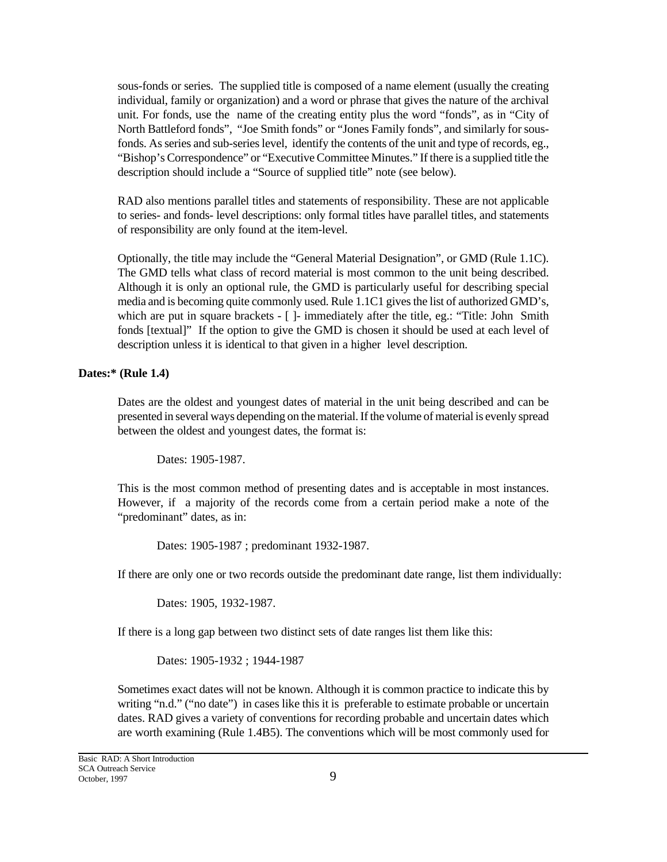sous-fonds or series. The supplied title is composed of a name element (usually the creating individual, family or organization) and a word or phrase that gives the nature of the archival unit. For fonds, use the name of the creating entity plus the word "fonds", as in "City of North Battleford fonds", "Joe Smith fonds" or "Jones Family fonds", and similarly for sousfonds. As series and sub-series level, identify the contents of the unit and type of records, eg., "Bishop's Correspondence" or "Executive Committee Minutes." If there is a supplied title the description should include a "Source of supplied title" note (see below).

RAD also mentions parallel titles and statements of responsibility. These are not applicable to series- and fonds- level descriptions: only formal titles have parallel titles, and statements of responsibility are only found at the item-level.

Optionally, the title may include the "General Material Designation", or GMD (Rule 1.1C). The GMD tells what class of record material is most common to the unit being described. Although it is only an optional rule, the GMD is particularly useful for describing special media and is becoming quite commonly used. Rule 1.1C1 gives the list of authorized GMD's, which are put in square brackets - [ ]- immediately after the title, eg.: "Title: John Smith fonds [textual]" If the option to give the GMD is chosen it should be used at each level of description unless it is identical to that given in a higher level description.

### **Dates:\* (Rule 1.4)**

Dates are the oldest and youngest dates of material in the unit being described and can be presented in several ways depending on the material. If the volume of material is evenly spread between the oldest and youngest dates, the format is:

Dates: 1905-1987.

This is the most common method of presenting dates and is acceptable in most instances. However, if a majority of the records come from a certain period make a note of the "predominant" dates, as in:

Dates: 1905-1987 ; predominant 1932-1987.

If there are only one or two records outside the predominant date range, list them individually:

Dates: 1905, 1932-1987.

If there is a long gap between two distinct sets of date ranges list them like this:

Dates: 1905-1932 ; 1944-1987

Sometimes exact dates will not be known. Although it is common practice to indicate this by writing "n.d." ("no date") in cases like this it is preferable to estimate probable or uncertain dates. RAD gives a variety of conventions for recording probable and uncertain dates which are worth examining (Rule 1.4B5). The conventions which will be most commonly used for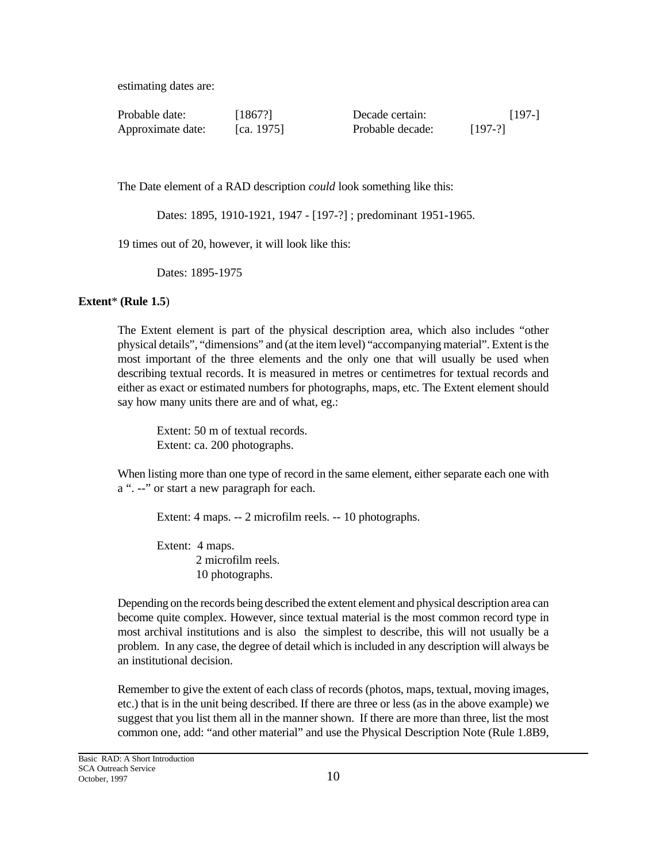estimating dates are:

| Probable date:    | [1867?]    | Decade certain:  | $[197-]$  |
|-------------------|------------|------------------|-----------|
| Approximate date: | [ca. 1975] | Probable decade: | $[197-?]$ |

The Date element of a RAD description *could* look something like this:

Dates: 1895, 1910-1921, 1947 - [197-?] ; predominant 1951-1965.

19 times out of 20, however, it will look like this:

Dates: 1895-1975

### **Extent**\* **(Rule 1.5**)

The Extent element is part of the physical description area, which also includes "other physical details", "dimensions" and (at the item level) "accompanying material". Extent is the most important of the three elements and the only one that will usually be used when describing textual records. It is measured in metres or centimetres for textual records and either as exact or estimated numbers for photographs, maps, etc. The Extent element should say how many units there are and of what, eg.:

Extent: 50 m of textual records. Extent: ca. 200 photographs.

When listing more than one type of record in the same element, either separate each one with a ". --" or start a new paragraph for each.

Extent: 4 maps. -- 2 microfilm reels. -- 10 photographs.

Extent: 4 maps. 2 microfilm reels. 10 photographs.

Depending on the records being described the extent element and physical description area can become quite complex. However, since textual material is the most common record type in most archival institutions and is also the simplest to describe, this will not usually be a problem. In any case, the degree of detail which is included in any description will always be an institutional decision.

Remember to give the extent of each class of records (photos, maps, textual, moving images, etc.) that is in the unit being described. If there are three or less (as in the above example) we suggest that you list them all in the manner shown. If there are more than three, list the most common one, add: "and other material" and use the Physical Description Note (Rule 1.8B9,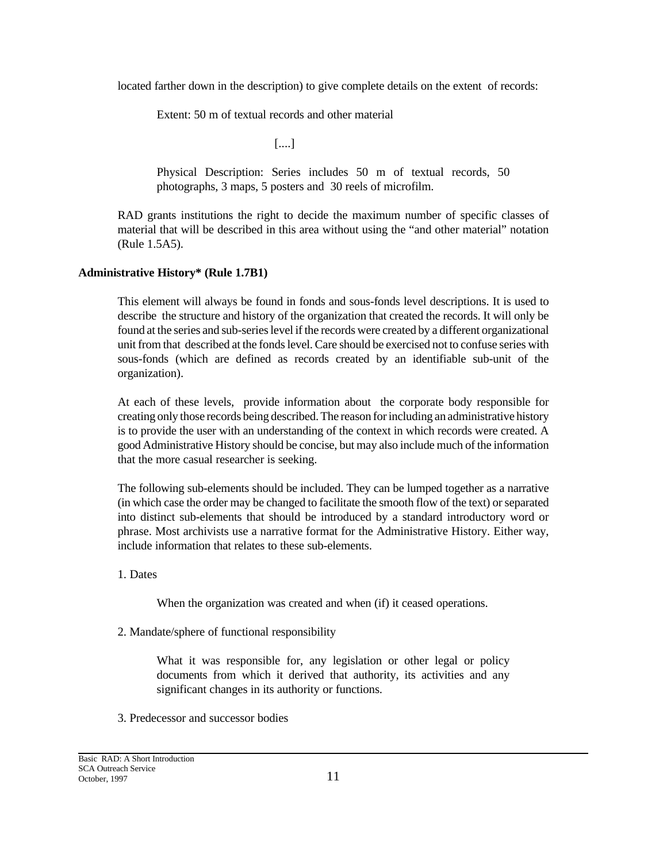located farther down in the description) to give complete details on the extent of records:

Extent: 50 m of textual records and other material

[....]

Physical Description: Series includes 50 m of textual records, 50 photographs, 3 maps, 5 posters and 30 reels of microfilm.

RAD grants institutions the right to decide the maximum number of specific classes of material that will be described in this area without using the "and other material" notation (Rule 1.5A5).

## **Administrative History\* (Rule 1.7B1)**

This element will always be found in fonds and sous-fonds level descriptions. It is used to describe the structure and history of the organization that created the records. It will only be found at the series and sub-series level if the records were created by a different organizational unit from that described at the fonds level. Care should be exercised not to confuse series with sous-fonds (which are defined as records created by an identifiable sub-unit of the organization).

At each of these levels, provide information about the corporate body responsible for creating only those records being described. The reason for including an administrative history is to provide the user with an understanding of the context in which records were created. A good Administrative History should be concise, but may also include much of the information that the more casual researcher is seeking.

The following sub-elements should be included. They can be lumped together as a narrative (in which case the order may be changed to facilitate the smooth flow of the text) or separated into distinct sub-elements that should be introduced by a standard introductory word or phrase. Most archivists use a narrative format for the Administrative History. Either way, include information that relates to these sub-elements.

1. Dates

When the organization was created and when (if) it ceased operations.

2. Mandate/sphere of functional responsibility

What it was responsible for, any legislation or other legal or policy documents from which it derived that authority, its activities and any significant changes in its authority or functions.

3. Predecessor and successor bodies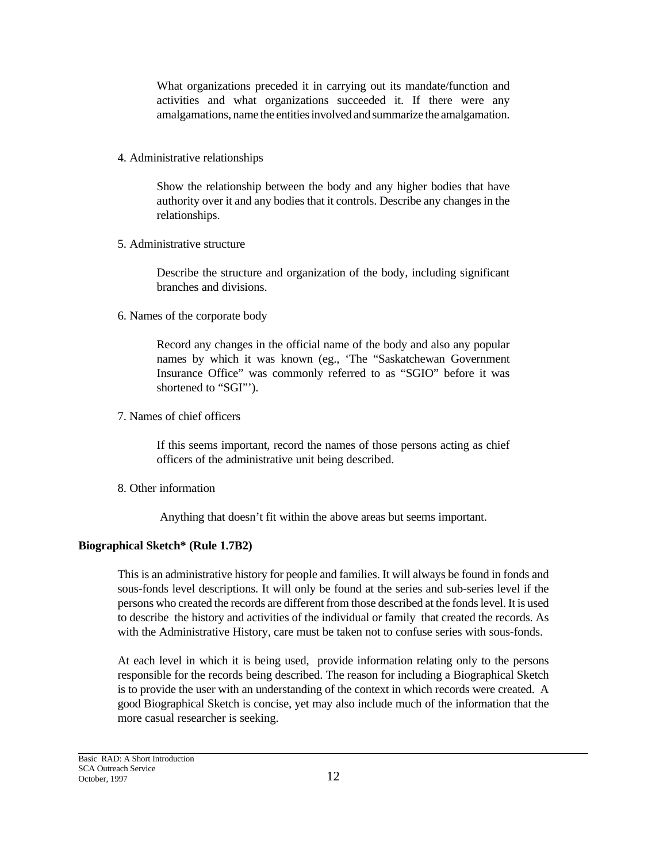What organizations preceded it in carrying out its mandate/function and activities and what organizations succeeded it. If there were any amalgamations, name the entities involved and summarize the amalgamation.

4. Administrative relationships

Show the relationship between the body and any higher bodies that have authority over it and any bodies that it controls. Describe any changes in the relationships.

5. Administrative structure

Describe the structure and organization of the body, including significant branches and divisions.

6. Names of the corporate body

Record any changes in the official name of the body and also any popular names by which it was known (eg., 'The "Saskatchewan Government Insurance Office" was commonly referred to as "SGIO" before it was shortened to "SGI"').

7. Names of chief officers

If this seems important, record the names of those persons acting as chief officers of the administrative unit being described.

8. Other information

Anything that doesn't fit within the above areas but seems important.

## **Biographical Sketch\* (Rule 1.7B2)**

This is an administrative history for people and families. It will always be found in fonds and sous-fonds level descriptions. It will only be found at the series and sub-series level if the persons who created the records are different from those described at the fonds level. It is used to describe the history and activities of the individual or family that created the records. As with the Administrative History, care must be taken not to confuse series with sous-fonds.

At each level in which it is being used, provide information relating only to the persons responsible for the records being described. The reason for including a Biographical Sketch is to provide the user with an understanding of the context in which records were created. A good Biographical Sketch is concise, yet may also include much of the information that the more casual researcher is seeking.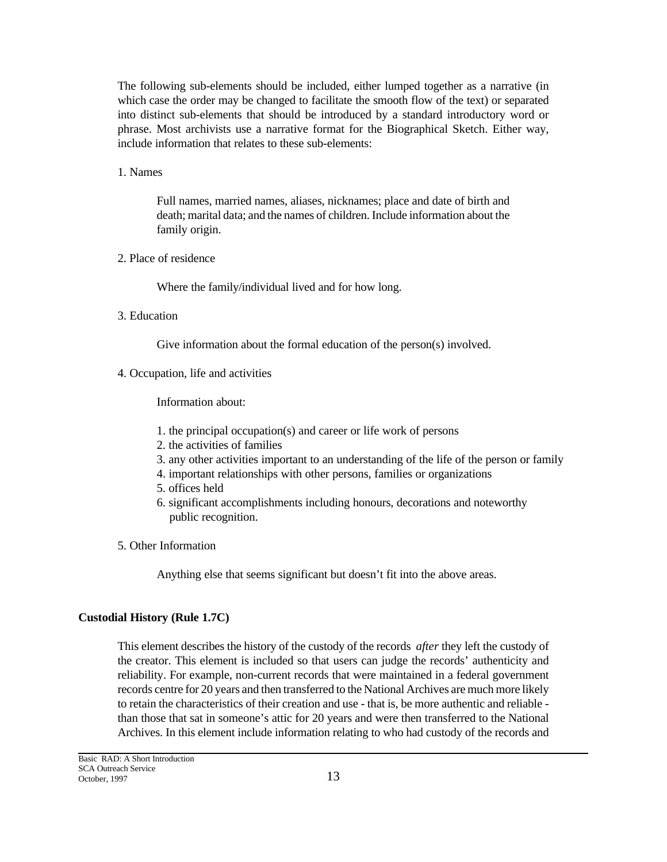The following sub-elements should be included, either lumped together as a narrative (in which case the order may be changed to facilitate the smooth flow of the text) or separated into distinct sub-elements that should be introduced by a standard introductory word or phrase. Most archivists use a narrative format for the Biographical Sketch. Either way, include information that relates to these sub-elements:

1. Names

Full names, married names, aliases, nicknames; place and date of birth and death; marital data; and the names of children. Include information about the family origin.

2. Place of residence

Where the family/individual lived and for how long.

3. Education

Give information about the formal education of the person(s) involved.

4. Occupation, life and activities

Information about:

- 1. the principal occupation(s) and career or life work of persons
- 2. the activities of families
- 3. any other activities important to an understanding of the life of the person or family
- 4. important relationships with other persons, families or organizations
- 5. offices held
- 6. significant accomplishments including honours, decorations and noteworthy public recognition.
- 5. Other Information

Anything else that seems significant but doesn't fit into the above areas.

#### **Custodial History (Rule 1.7C)**

This element describes the history of the custody of the records *after* they left the custody of the creator. This element is included so that users can judge the records' authenticity and reliability. For example, non-current records that were maintained in a federal government records centre for 20 years and then transferred to the National Archives are much more likely to retain the characteristics of their creation and use - that is, be more authentic and reliable than those that sat in someone's attic for 20 years and were then transferred to the National Archives. In this element include information relating to who had custody of the records and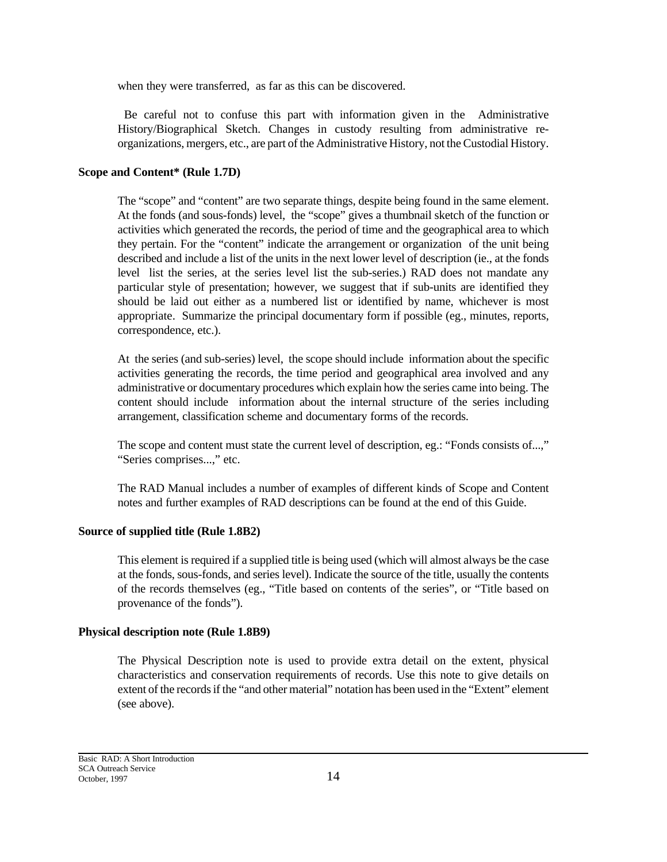when they were transferred, as far as this can be discovered.

 Be careful not to confuse this part with information given in the Administrative History/Biographical Sketch. Changes in custody resulting from administrative reorganizations, mergers, etc., are part of the Administrative History, not the Custodial History.

### **Scope and Content\* (Rule 1.7D)**

The "scope" and "content" are two separate things, despite being found in the same element. At the fonds (and sous-fonds) level, the "scope" gives a thumbnail sketch of the function or activities which generated the records, the period of time and the geographical area to which they pertain. For the "content" indicate the arrangement or organization of the unit being described and include a list of the units in the next lower level of description (ie., at the fonds level list the series, at the series level list the sub-series.) RAD does not mandate any particular style of presentation; however, we suggest that if sub-units are identified they should be laid out either as a numbered list or identified by name, whichever is most appropriate. Summarize the principal documentary form if possible (eg., minutes, reports, correspondence, etc.).

At the series (and sub-series) level, the scope should include information about the specific activities generating the records, the time period and geographical area involved and any administrative or documentary procedures which explain how the series came into being. The content should include information about the internal structure of the series including arrangement, classification scheme and documentary forms of the records.

The scope and content must state the current level of description, eg.: "Fonds consists of...," "Series comprises...," etc.

The RAD Manual includes a number of examples of different kinds of Scope and Content notes and further examples of RAD descriptions can be found at the end of this Guide.

### **Source of supplied title (Rule 1.8B2)**

This element is required if a supplied title is being used (which will almost always be the case at the fonds, sous-fonds, and series level). Indicate the source of the title, usually the contents of the records themselves (eg., "Title based on contents of the series", or "Title based on provenance of the fonds").

### **Physical description note (Rule 1.8B9)**

The Physical Description note is used to provide extra detail on the extent, physical characteristics and conservation requirements of records. Use this note to give details on extent of the records if the "and other material" notation has been used in the "Extent" element (see above).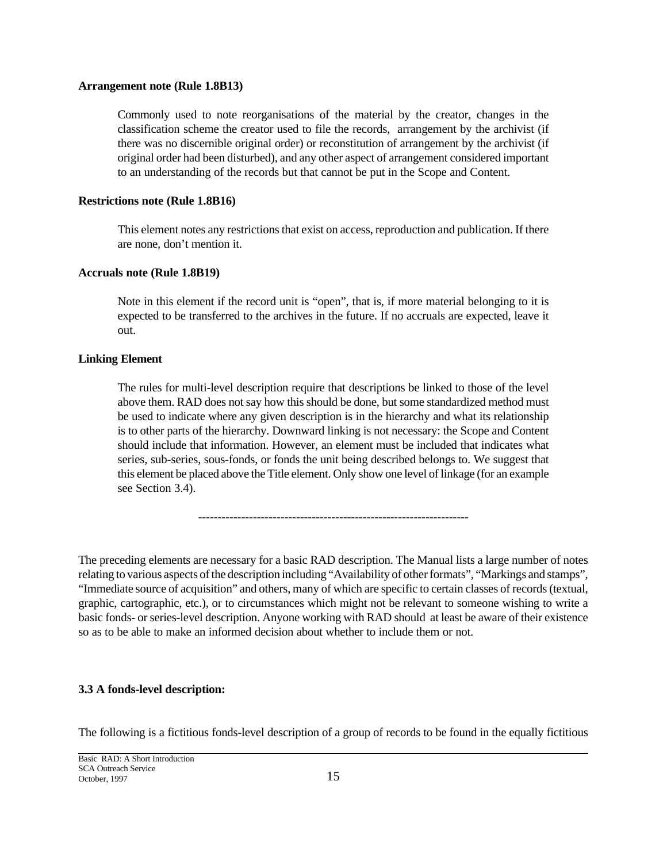#### **Arrangement note (Rule 1.8B13)**

Commonly used to note reorganisations of the material by the creator, changes in the classification scheme the creator used to file the records, arrangement by the archivist (if there was no discernible original order) or reconstitution of arrangement by the archivist (if original order had been disturbed), and any other aspect of arrangement considered important to an understanding of the records but that cannot be put in the Scope and Content.

### **Restrictions note (Rule 1.8B16)**

This element notes any restrictions that exist on access, reproduction and publication. If there are none, don't mention it.

#### **Accruals note (Rule 1.8B19)**

Note in this element if the record unit is "open", that is, if more material belonging to it is expected to be transferred to the archives in the future. If no accruals are expected, leave it out.

### **Linking Element**

The rules for multi-level description require that descriptions be linked to those of the level above them. RAD does not say how this should be done, but some standardized method must be used to indicate where any given description is in the hierarchy and what its relationship is to other parts of the hierarchy. Downward linking is not necessary: the Scope and Content should include that information. However, an element must be included that indicates what series, sub-series, sous-fonds, or fonds the unit being described belongs to. We suggest that this element be placed above the Title element. Only show one level of linkage (for an example see Section 3.4).

---------------------------------------------------------------------

The preceding elements are necessary for a basic RAD description. The Manual lists a large number of notes relating to various aspects of the description including "Availability of other formats", "Markings and stamps", "Immediate source of acquisition" and others, many of which are specific to certain classes of records (textual, graphic, cartographic, etc.), or to circumstances which might not be relevant to someone wishing to write a basic fonds- or series-level description. Anyone working with RAD should at least be aware of their existence so as to be able to make an informed decision about whether to include them or not.

#### **3.3 A fonds-level description:**

The following is a fictitious fonds-level description of a group of records to be found in the equally fictitious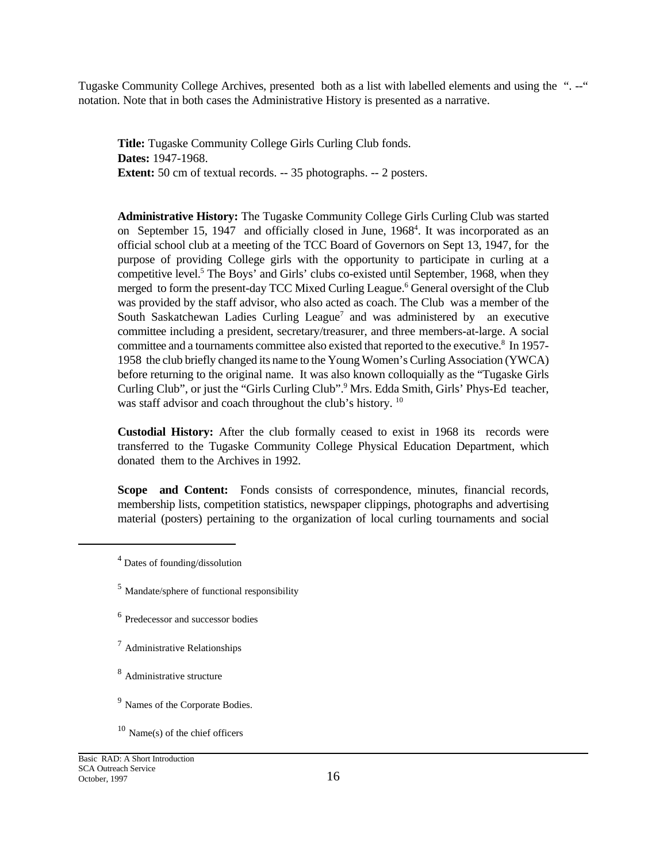Tugaske Community College Archives, presented both as a list with labelled elements and using the ".--" notation. Note that in both cases the Administrative History is presented as a narrative.

**Title:** Tugaske Community College Girls Curling Club fonds. **Dates:** 1947-1968. **Extent:** 50 cm of textual records. -- 35 photographs. -- 2 posters.

**Administrative History:** The Tugaske Community College Girls Curling Club was started on September 15, 1947 and officially closed in June, 1968<sup>4</sup>. It was incorporated as an official school club at a meeting of the TCC Board of Governors on Sept 13, 1947, for the purpose of providing College girls with the opportunity to participate in curling at a competitive level.<sup>5</sup> The Boys' and Girls' clubs co-existed until September, 1968, when they merged to form the present-day TCC Mixed Curling League.<sup>6</sup> General oversight of the Club was provided by the staff advisor, who also acted as coach. The Club was a member of the South Saskatchewan Ladies Curling League<sup>7</sup> and was administered by an executive committee including a president, secretary/treasurer, and three members-at-large. A social committee and a tournaments committee also existed that reported to the executive.<sup>8</sup> In 1957-1958 the club briefly changed its name to the Young Women's Curling Association (YWCA) before returning to the original name. It was also known colloquially as the "Tugaske Girls Curling Club", or just the "Girls Curling Club".<sup>9</sup> Mrs. Edda Smith, Girls' Phys-Ed teacher, was staff advisor and coach throughout the club's history.<sup>10</sup>

**Custodial History:** After the club formally ceased to exist in 1968 its records were transferred to the Tugaske Community College Physical Education Department, which donated them to the Archives in 1992.

Scope and Content: Fonds consists of correspondence, minutes, financial records, membership lists, competition statistics, newspaper clippings, photographs and advertising material (posters) pertaining to the organization of local curling tournaments and social

<sup>7</sup> Administrative Relationships

<sup>9</sup> Names of the Corporate Bodies.

<sup>&</sup>lt;sup>4</sup> Dates of founding/dissolution

<sup>5</sup> Mandate/sphere of functional responsibility

<sup>6</sup> Predecessor and successor bodies

<sup>8</sup> Administrative structure

 $10$  Name(s) of the chief officers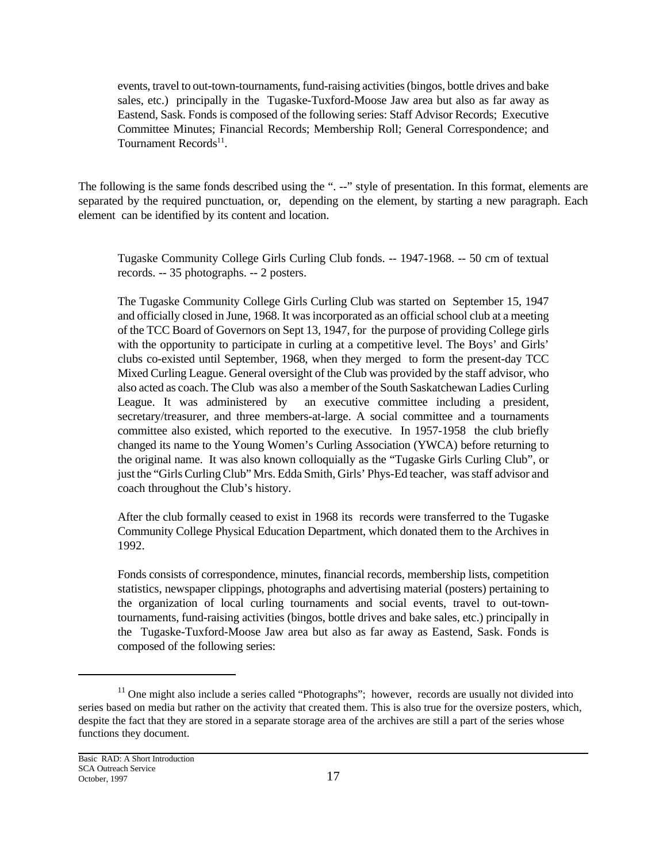events, travel to out-town-tournaments, fund-raising activities (bingos, bottle drives and bake sales, etc.) principally in the Tugaske-Tuxford-Moose Jaw area but also as far away as Eastend, Sask. Fonds is composed of the following series: Staff Advisor Records; Executive Committee Minutes; Financial Records; Membership Roll; General Correspondence; and Tournament Records<sup>11</sup>.

The following is the same fonds described using the ". --" style of presentation. In this format, elements are separated by the required punctuation, or, depending on the element, by starting a new paragraph. Each element can be identified by its content and location.

Tugaske Community College Girls Curling Club fonds. -- 1947-1968. -- 50 cm of textual records. -- 35 photographs. -- 2 posters.

The Tugaske Community College Girls Curling Club was started on September 15, 1947 and officially closed in June, 1968. It was incorporated as an official school club at a meeting of the TCC Board of Governors on Sept 13, 1947, for the purpose of providing College girls with the opportunity to participate in curling at a competitive level. The Boys' and Girls' clubs co-existed until September, 1968, when they merged to form the present-day TCC Mixed Curling League. General oversight of the Club was provided by the staff advisor, who also acted as coach. The Club was also a member of the South Saskatchewan Ladies Curling League. It was administered by an executive committee including a president, secretary/treasurer, and three members-at-large. A social committee and a tournaments committee also existed, which reported to the executive. In 1957-1958 the club briefly changed its name to the Young Women's Curling Association (YWCA) before returning to the original name. It was also known colloquially as the "Tugaske Girls Curling Club", or just the "Girls Curling Club" Mrs. Edda Smith, Girls' Phys-Ed teacher, was staff advisor and coach throughout the Club's history.

After the club formally ceased to exist in 1968 its records were transferred to the Tugaske Community College Physical Education Department, which donated them to the Archives in 1992.

Fonds consists of correspondence, minutes, financial records, membership lists, competition statistics, newspaper clippings, photographs and advertising material (posters) pertaining to the organization of local curling tournaments and social events, travel to out-towntournaments, fund-raising activities (bingos, bottle drives and bake sales, etc.) principally in the Tugaske-Tuxford-Moose Jaw area but also as far away as Eastend, Sask. Fonds is composed of the following series:

 $11$  One might also include a series called "Photographs"; however, records are usually not divided into series based on media but rather on the activity that created them. This is also true for the oversize posters, which, despite the fact that they are stored in a separate storage area of the archives are still a part of the series whose functions they document.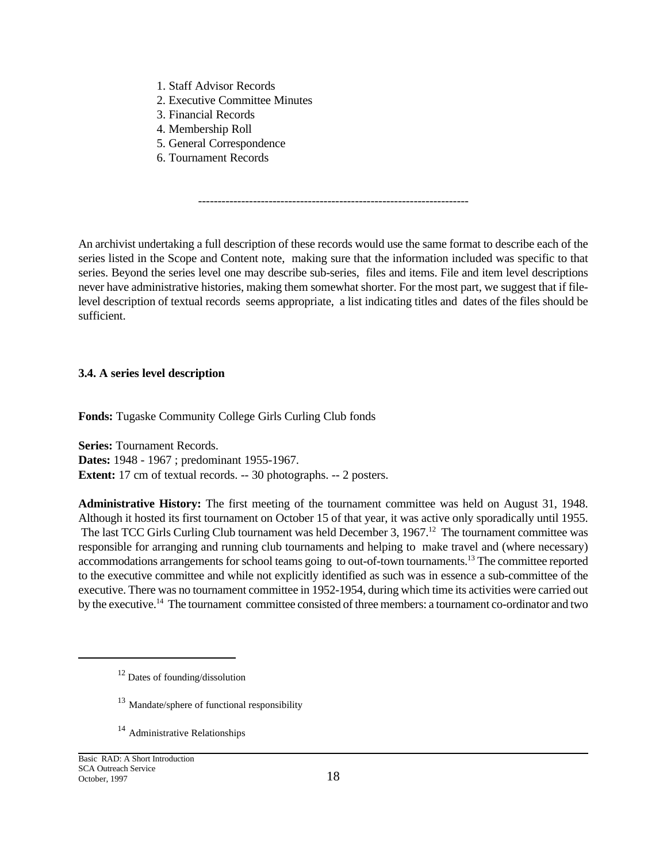- 1. Staff Advisor Records
- 2. Executive Committee Minutes
- 3. Financial Records
- 4. Membership Roll
- 5. General Correspondence
- 6. Tournament Records

An archivist undertaking a full description of these records would use the same format to describe each of the series listed in the Scope and Content note, making sure that the information included was specific to that series. Beyond the series level one may describe sub-series, files and items. File and item level descriptions never have administrative histories, making them somewhat shorter. For the most part, we suggest that if filelevel description of textual records seems appropriate, a list indicating titles and dates of the files should be sufficient.

---------------------------------------------------------------------

## **3.4. A series level description**

**Fonds:** Tugaske Community College Girls Curling Club fonds

**Series:** Tournament Records. **Dates:** 1948 - 1967 ; predominant 1955-1967. **Extent:** 17 cm of textual records. -- 30 photographs. -- 2 posters.

**Administrative History:** The first meeting of the tournament committee was held on August 31, 1948. Although it hosted its first tournament on October 15 of that year, it was active only sporadically until 1955. The last TCC Girls Curling Club tournament was held December 3, 1967.<sup>12</sup> The tournament committee was responsible for arranging and running club tournaments and helping to make travel and (where necessary) accommodations arrangements for school teams going to out-of-town tournaments.<sup>13</sup> The committee reported to the executive committee and while not explicitly identified as such was in essence a sub-committee of the executive. There was no tournament committee in 1952-1954, during which time its activities were carried out by the executive.14 The tournament committee consisted of three members: a tournament co-ordinator and two

- <sup>13</sup> Mandate/sphere of functional responsibility
- <sup>14</sup> Administrative Relationships

<sup>12</sup> Dates of founding/dissolution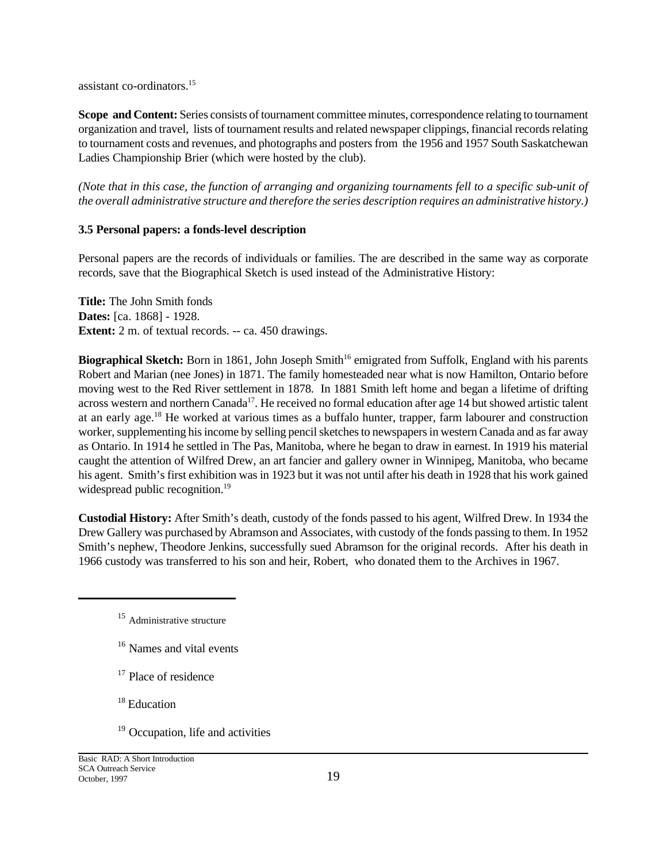assistant co-ordinators.<sup>15</sup>

**Scope and Content:** Series consists of tournament committee minutes, correspondence relating to tournament organization and travel, lists of tournament results and related newspaper clippings, financial records relating to tournament costs and revenues, and photographs and posters from the 1956 and 1957 South Saskatchewan Ladies Championship Brier (which were hosted by the club).

*(Note that in this case, the function of arranging and organizing tournaments fell to a specific sub-unit of the overall administrative structure and therefore the series description requires an administrative history.)*

## **3.5 Personal papers: a fonds-level description**

Personal papers are the records of individuals or families. The are described in the same way as corporate records, save that the Biographical Sketch is used instead of the Administrative History:

**Title:** The John Smith fonds **Dates:** [ca. 1868] - 1928. **Extent:** 2 m. of textual records. -- ca. 450 drawings.

**Biographical Sketch:** Born in 1861, John Joseph Smith<sup>16</sup> emigrated from Suffolk, England with his parents Robert and Marian (nee Jones) in 1871. The family homesteaded near what is now Hamilton, Ontario before moving west to the Red River settlement in 1878. In 1881 Smith left home and began a lifetime of drifting across western and northern Canada<sup>17</sup>. He received no formal education after age 14 but showed artistic talent at an early age.<sup>18</sup> He worked at various times as a buffalo hunter, trapper, farm labourer and construction worker, supplementing his income by selling pencil sketches to newspapers in western Canada and as far away as Ontario. In 1914 he settled in The Pas, Manitoba, where he began to draw in earnest. In 1919 his material caught the attention of Wilfred Drew, an art fancier and gallery owner in Winnipeg, Manitoba, who became his agent. Smith's first exhibition was in 1923 but it was not until after his death in 1928 that his work gained widespread public recognition.<sup>19</sup>

**Custodial History:** After Smith's death, custody of the fonds passed to his agent, Wilfred Drew. In 1934 the Drew Gallery was purchased by Abramson and Associates, with custody of the fonds passing to them. In 1952 Smith's nephew, Theodore Jenkins, successfully sued Abramson for the original records. After his death in 1966 custody was transferred to his son and heir, Robert, who donated them to the Archives in 1967.

- <sup>16</sup> Names and vital events
- <sup>17</sup> Place of residence

<sup>18</sup> Education

<sup>19</sup> Occupation, life and activities

<sup>&</sup>lt;sup>15</sup> Administrative structure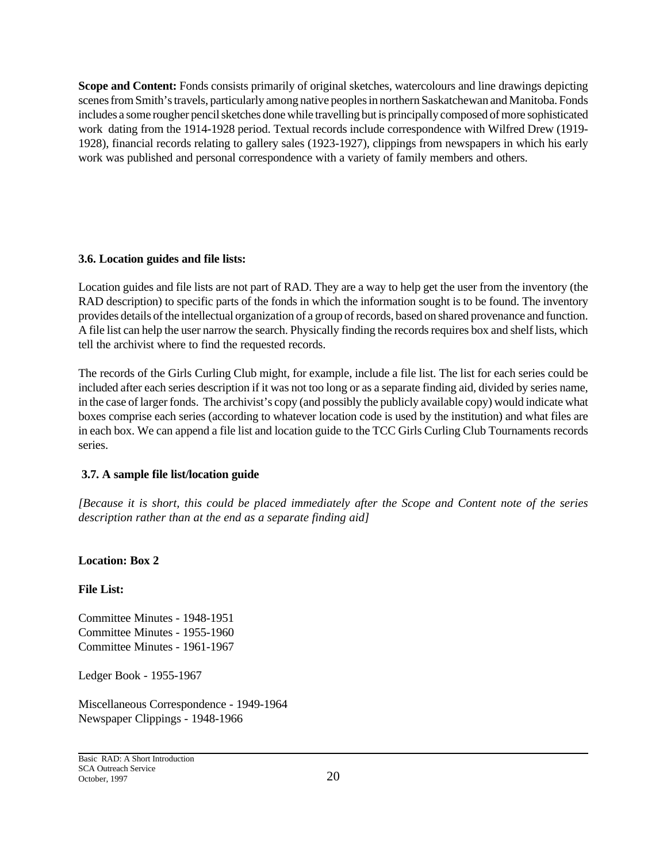**Scope and Content:** Fonds consists primarily of original sketches, watercolours and line drawings depicting scenes from Smith's travels, particularly among native peoples in northern Saskatchewan and Manitoba. Fonds includes a some rougher pencil sketches done while travelling but is principally composed of more sophisticated work dating from the 1914-1928 period. Textual records include correspondence with Wilfred Drew (1919- 1928), financial records relating to gallery sales (1923-1927), clippings from newspapers in which his early work was published and personal correspondence with a variety of family members and others.

### **3.6. Location guides and file lists:**

Location guides and file lists are not part of RAD. They are a way to help get the user from the inventory (the RAD description) to specific parts of the fonds in which the information sought is to be found. The inventory provides details of the intellectual organization of a group of records, based on shared provenance and function. A file list can help the user narrow the search. Physically finding the records requires box and shelf lists, which tell the archivist where to find the requested records.

The records of the Girls Curling Club might, for example, include a file list. The list for each series could be included after each series description if it was not too long or as a separate finding aid, divided by series name, in the case of larger fonds. The archivist's copy (and possibly the publicly available copy) would indicate what boxes comprise each series (according to whatever location code is used by the institution) and what files are in each box. We can append a file list and location guide to the TCC Girls Curling Club Tournaments records series.

## **3.7. A sample file list/location guide**

*[Because it is short, this could be placed immediately after the Scope and Content note of the series description rather than at the end as a separate finding aid]*

## **Location: Box 2**

**File List:** 

Committee Minutes - 1948-1951 Committee Minutes - 1955-1960 Committee Minutes - 1961-1967

Ledger Book - 1955-1967

Miscellaneous Correspondence - 1949-1964 Newspaper Clippings - 1948-1966

Basic RAD: A Short Introduction SCA Outreach Service October, 1997 20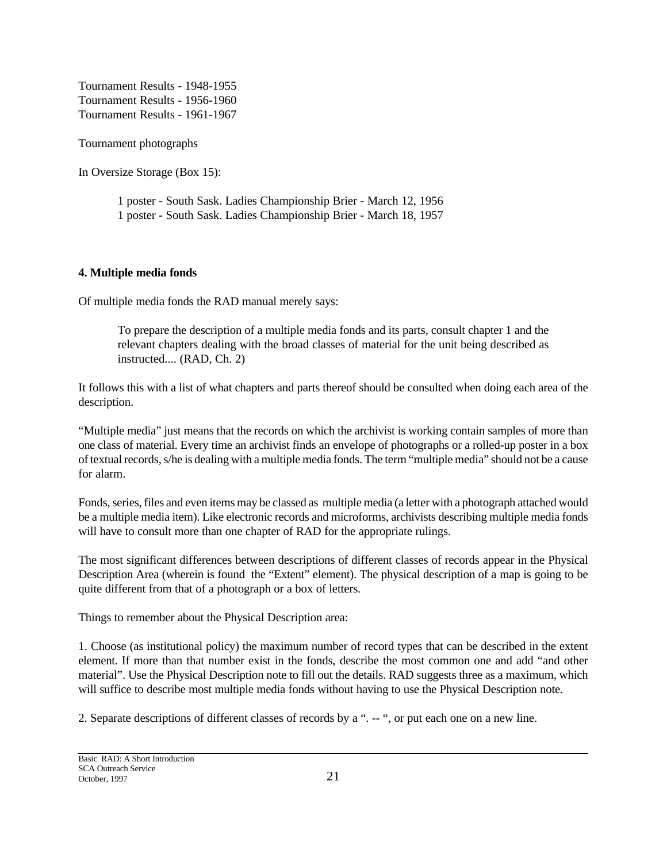Tournament Results - 1948-1955 Tournament Results - 1956-1960 Tournament Results - 1961-1967

Tournament photographs

In Oversize Storage (Box 15):

1 poster - South Sask. Ladies Championship Brier - March 12, 1956 1 poster - South Sask. Ladies Championship Brier - March 18, 1957

## **4. Multiple media fonds**

Of multiple media fonds the RAD manual merely says:

To prepare the description of a multiple media fonds and its parts, consult chapter 1 and the relevant chapters dealing with the broad classes of material for the unit being described as instructed.... (RAD, Ch. 2)

It follows this with a list of what chapters and parts thereof should be consulted when doing each area of the description.

"Multiple media" just means that the records on which the archivist is working contain samples of more than one class of material. Every time an archivist finds an envelope of photographs or a rolled-up poster in a box of textual records, s/he is dealing with a multiple media fonds. The term "multiple media" should not be a cause for alarm.

Fonds, series, files and even items may be classed as multiple media (a letter with a photograph attached would be a multiple media item). Like electronic records and microforms, archivists describing multiple media fonds will have to consult more than one chapter of RAD for the appropriate rulings.

The most significant differences between descriptions of different classes of records appear in the Physical Description Area (wherein is found the "Extent" element). The physical description of a map is going to be quite different from that of a photograph or a box of letters.

Things to remember about the Physical Description area:

1. Choose (as institutional policy) the maximum number of record types that can be described in the extent element. If more than that number exist in the fonds, describe the most common one and add "and other material". Use the Physical Description note to fill out the details. RAD suggests three as a maximum, which will suffice to describe most multiple media fonds without having to use the Physical Description note.

2. Separate descriptions of different classes of records by a ". -- ", or put each one on a new line.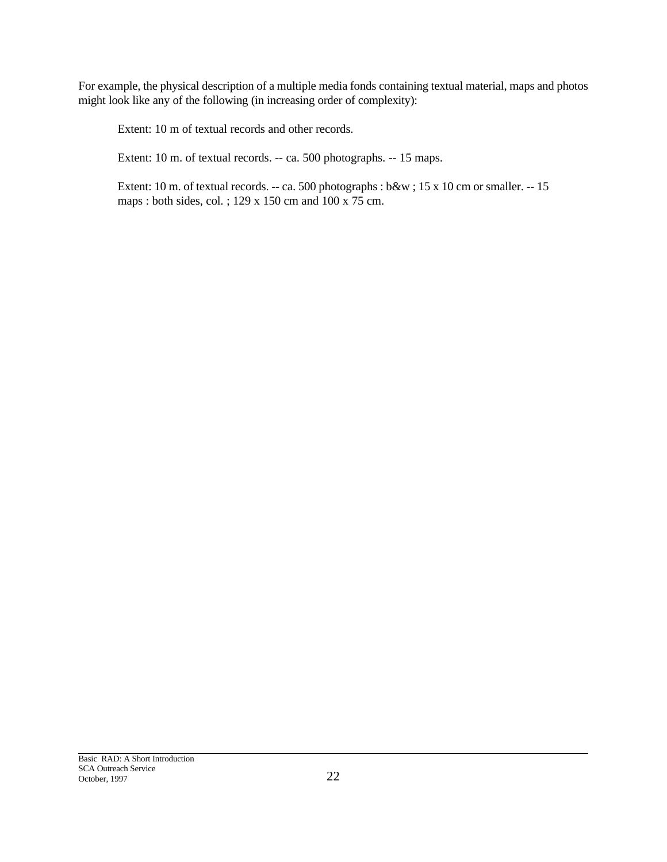For example, the physical description of a multiple media fonds containing textual material, maps and photos might look like any of the following (in increasing order of complexity):

Extent: 10 m of textual records and other records.

Extent: 10 m. of textual records. -- ca. 500 photographs. -- 15 maps.

Extent: 10 m. of textual records. -- ca. 500 photographs : b&w ; 15 x 10 cm or smaller. -- 15 maps : both sides, col. ; 129 x 150 cm and 100 x 75 cm.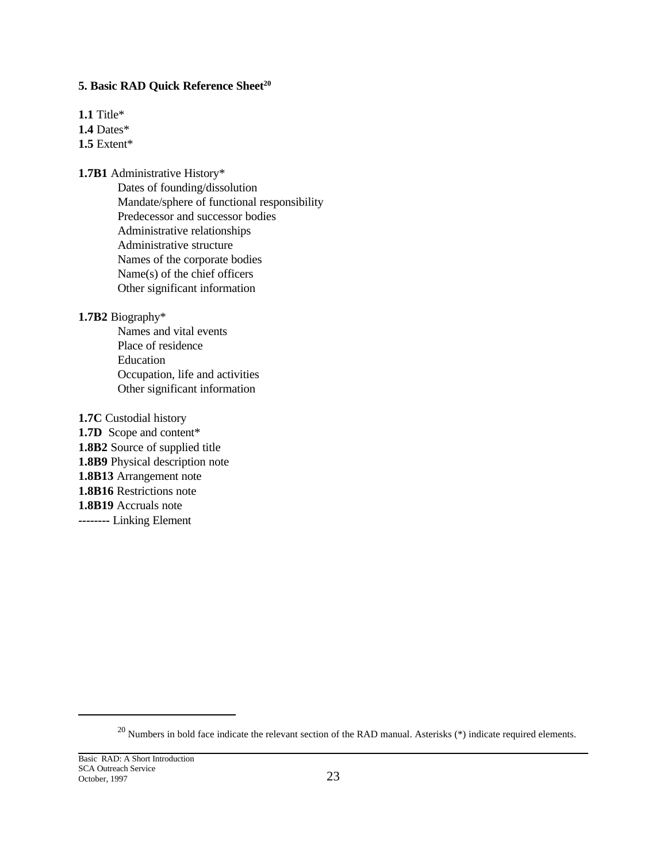## **5. Basic RAD Quick Reference Sheet<sup>20</sup>**

**1.1** Title\*

**1.4** Dates\*

**1.5** Extent\*

## **1.7B1** Administrative History\*

Dates of founding/dissolution Mandate/sphere of functional responsibility Predecessor and successor bodies Administrative relationships Administrative structure Names of the corporate bodies Name(s) of the chief officers Other significant information

### **1.7B2** Biography\*

- Names and vital events Place of residence Education Occupation, life and activities Other significant information
- **1.7C** Custodial history **1.7D** Scope and content\* **1.8B2** Source of supplied title **1.8B9** Physical description note **1.8B13** Arrangement note **1.8B16** Restrictions note **1.8B19** Accruals note **--------** Linking Element

 $^{20}$  Numbers in bold face indicate the relevant section of the RAD manual. Asterisks (\*) indicate required elements.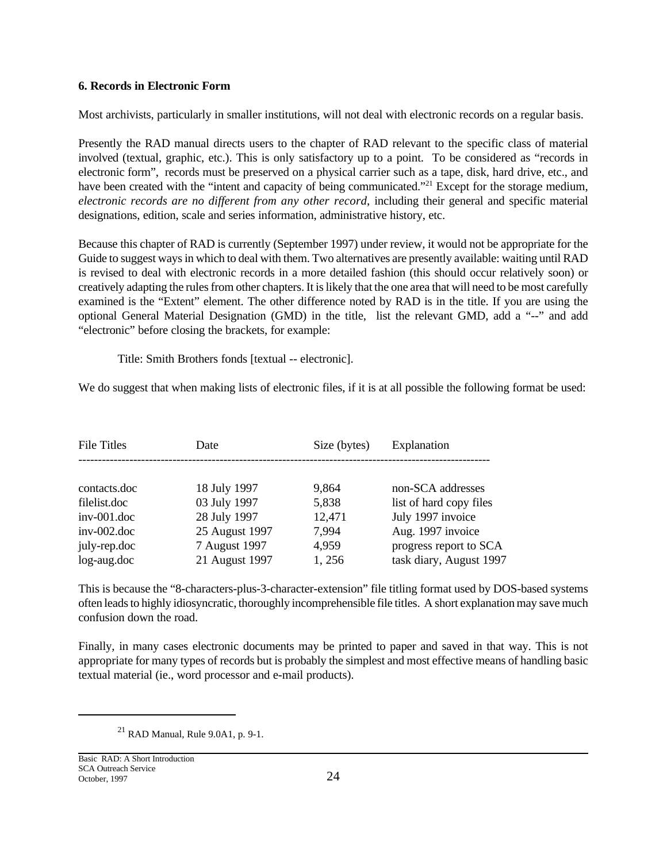#### **6. Records in Electronic Form**

Most archivists, particularly in smaller institutions, will not deal with electronic records on a regular basis.

Presently the RAD manual directs users to the chapter of RAD relevant to the specific class of material involved (textual, graphic, etc.). This is only satisfactory up to a point. To be considered as "records in electronic form", records must be preserved on a physical carrier such as a tape, disk, hard drive, etc., and have been created with the "intent and capacity of being communicated."<sup>21</sup> Except for the storage medium, *electronic records are no different from any other record*, including their general and specific material designations, edition, scale and series information, administrative history, etc.

Because this chapter of RAD is currently (September 1997) under review, it would not be appropriate for the Guide to suggest ways in which to deal with them. Two alternatives are presently available: waiting until RAD is revised to deal with electronic records in a more detailed fashion (this should occur relatively soon) or creatively adapting the rules from other chapters. It is likely that the one area that will need to be most carefully examined is the "Extent" element. The other difference noted by RAD is in the title. If you are using the optional General Material Designation (GMD) in the title, list the relevant GMD, add a "--" and add "electronic" before closing the brackets, for example:

Title: Smith Brothers fonds [textual -- electronic].

We do suggest that when making lists of electronic files, if it is at all possible the following format be used:

| <b>File Titles</b> | Date           | Size (bytes) | Explanation             |
|--------------------|----------------|--------------|-------------------------|
|                    |                |              |                         |
| contacts.doc       | 18 July 1997   | 9,864        | non-SCA addresses       |
| filelist.doc       | 03 July 1997   | 5,838        | list of hard copy files |
| $inv-001$ .doc     | 28 July 1997   | 12,471       | July 1997 invoice       |
| $inv-002.doc$      | 25 August 1997 | 7,994        | Aug. 1997 invoice       |
| july-rep.doc       | 7 August 1997  | 4,959        | progress report to SCA  |
| log-aug.doc        | 21 August 1997 | 1,256        | task diary, August 1997 |

This is because the "8-characters-plus-3-character-extension" file titling format used by DOS-based systems often leads to highly idiosyncratic, thoroughly incomprehensible file titles. A short explanation may save much confusion down the road.

Finally, in many cases electronic documents may be printed to paper and saved in that way. This is not appropriate for many types of records but is probably the simplest and most effective means of handling basic textual material (ie., word processor and e-mail products).

 $^{21}$  RAD Manual, Rule 9.0A1, p. 9-1.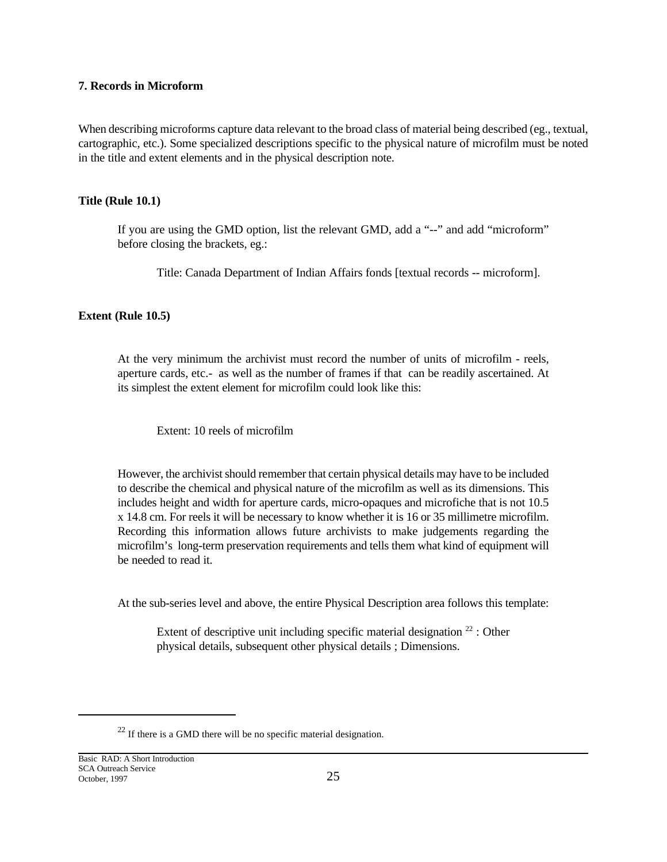### **7. Records in Microform**

When describing microforms capture data relevant to the broad class of material being described (eg., textual, cartographic, etc.). Some specialized descriptions specific to the physical nature of microfilm must be noted in the title and extent elements and in the physical description note.

### **Title (Rule 10.1)**

If you are using the GMD option, list the relevant GMD, add a "--" and add "microform" before closing the brackets, eg.:

Title: Canada Department of Indian Affairs fonds [textual records -- microform].

### **Extent (Rule 10.5)**

At the very minimum the archivist must record the number of units of microfilm - reels, aperture cards, etc.- as well as the number of frames if that can be readily ascertained. At its simplest the extent element for microfilm could look like this:

Extent: 10 reels of microfilm

However, the archivist should remember that certain physical details may have to be included to describe the chemical and physical nature of the microfilm as well as its dimensions. This includes height and width for aperture cards, micro-opaques and microfiche that is not 10.5 x 14.8 cm. For reels it will be necessary to know whether it is 16 or 35 millimetre microfilm. Recording this information allows future archivists to make judgements regarding the microfilm's long-term preservation requirements and tells them what kind of equipment will be needed to read it.

At the sub-series level and above, the entire Physical Description area follows this template:

Extent of descriptive unit including specific material designation  $^{22}$  : Other physical details, subsequent other physical details ; Dimensions.

 $22$  If there is a GMD there will be no specific material designation.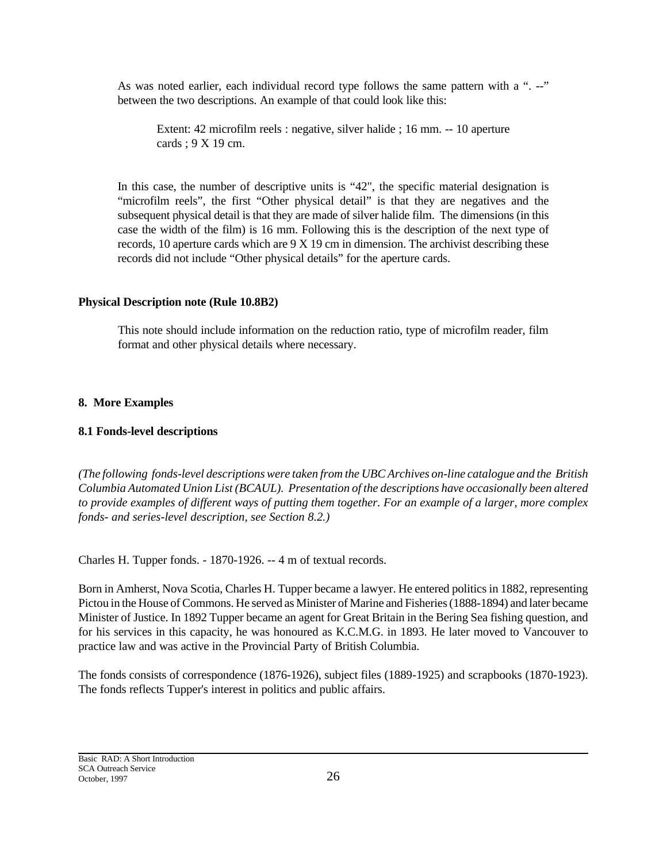As was noted earlier, each individual record type follows the same pattern with a ". --" between the two descriptions. An example of that could look like this:

Extent: 42 microfilm reels : negative, silver halide ; 16 mm. -- 10 aperture cards ; 9 X 19 cm.

In this case, the number of descriptive units is "42", the specific material designation is "microfilm reels", the first "Other physical detail" is that they are negatives and the subsequent physical detail is that they are made of silver halide film. The dimensions (in this case the width of the film) is 16 mm. Following this is the description of the next type of records, 10 aperture cards which are 9 X 19 cm in dimension. The archivist describing these records did not include "Other physical details" for the aperture cards.

## **Physical Description note (Rule 10.8B2)**

This note should include information on the reduction ratio, type of microfilm reader, film format and other physical details where necessary.

## **8. More Examples**

## **8.1 Fonds-level descriptions**

*(The following fonds-level descriptions were taken from the UBC Archives on-line catalogue and the British Columbia Automated Union List (BCAUL). Presentation of the descriptions have occasionally been altered to provide examples of different ways of putting them together. For an example of a larger, more complex fonds- and series-level description, see Section 8.2.)*

Charles H. Tupper fonds. - 1870-1926. -- 4 m of textual records.

Born in Amherst, Nova Scotia, Charles H. Tupper became a lawyer. He entered politics in 1882, representing Pictou in the House of Commons. He served as Minister of Marine and Fisheries (1888-1894) and later became Minister of Justice. In 1892 Tupper became an agent for Great Britain in the Bering Sea fishing question, and for his services in this capacity, he was honoured as K.C.M.G. in 1893. He later moved to Vancouver to practice law and was active in the Provincial Party of British Columbia.

The fonds consists of correspondence (1876-1926), subject files (1889-1925) and scrapbooks (1870-1923). The fonds reflects Tupper's interest in politics and public affairs.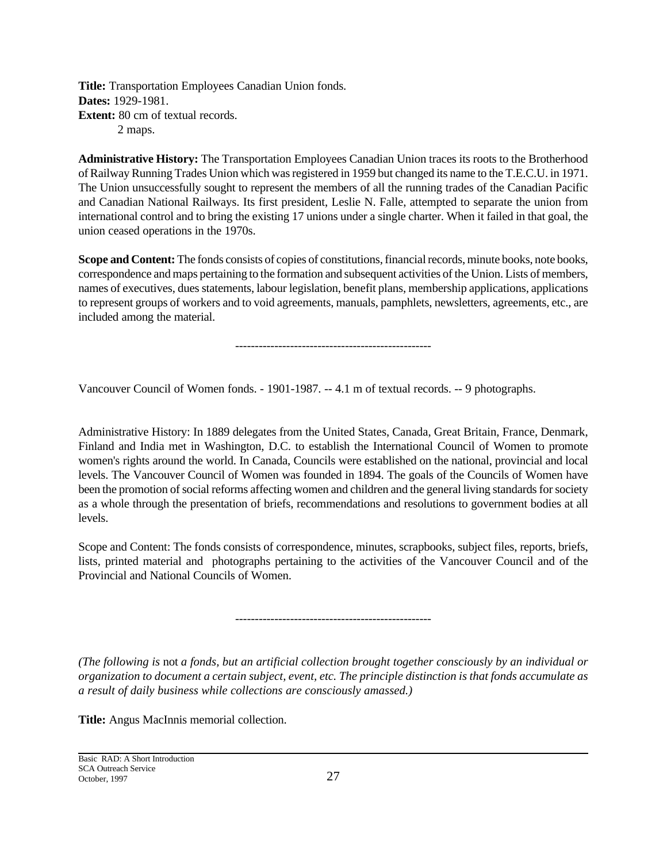**Title:** Transportation Employees Canadian Union fonds. **Dates:** 1929-1981. **Extent:** 80 cm of textual records. 2 maps.

**Administrative History:** The Transportation Employees Canadian Union traces its roots to the Brotherhood of Railway Running Trades Union which was registered in 1959 but changed its name to the T.E.C.U. in 1971. The Union unsuccessfully sought to represent the members of all the running trades of the Canadian Pacific and Canadian National Railways. Its first president, Leslie N. Falle, attempted to separate the union from international control and to bring the existing 17 unions under a single charter. When it failed in that goal, the union ceased operations in the 1970s.

**Scope and Content:** The fonds consists of copies of constitutions, financial records, minute books, note books, correspondence and maps pertaining to the formation and subsequent activities of the Union. Lists of members, names of executives, dues statements, labour legislation, benefit plans, membership applications, applications to represent groups of workers and to void agreements, manuals, pamphlets, newsletters, agreements, etc., are included among the material.

--------------------------------------------------

Vancouver Council of Women fonds. - 1901-1987. -- 4.1 m of textual records. -- 9 photographs.

Administrative History: In 1889 delegates from the United States, Canada, Great Britain, France, Denmark, Finland and India met in Washington, D.C. to establish the International Council of Women to promote women's rights around the world. In Canada, Councils were established on the national, provincial and local levels. The Vancouver Council of Women was founded in 1894. The goals of the Councils of Women have been the promotion of social reforms affecting women and children and the general living standards for society as a whole through the presentation of briefs, recommendations and resolutions to government bodies at all levels.

Scope and Content: The fonds consists of correspondence, minutes, scrapbooks, subject files, reports, briefs, lists, printed material and photographs pertaining to the activities of the Vancouver Council and of the Provincial and National Councils of Women.

--------------------------------------------------

*(The following is* not *a fonds, but an artificial collection brought together consciously by an individual or organization to document a certain subject, event, etc. The principle distinction is that fonds accumulate as a result of daily business while collections are consciously amassed.)*

**Title:** Angus MacInnis memorial collection.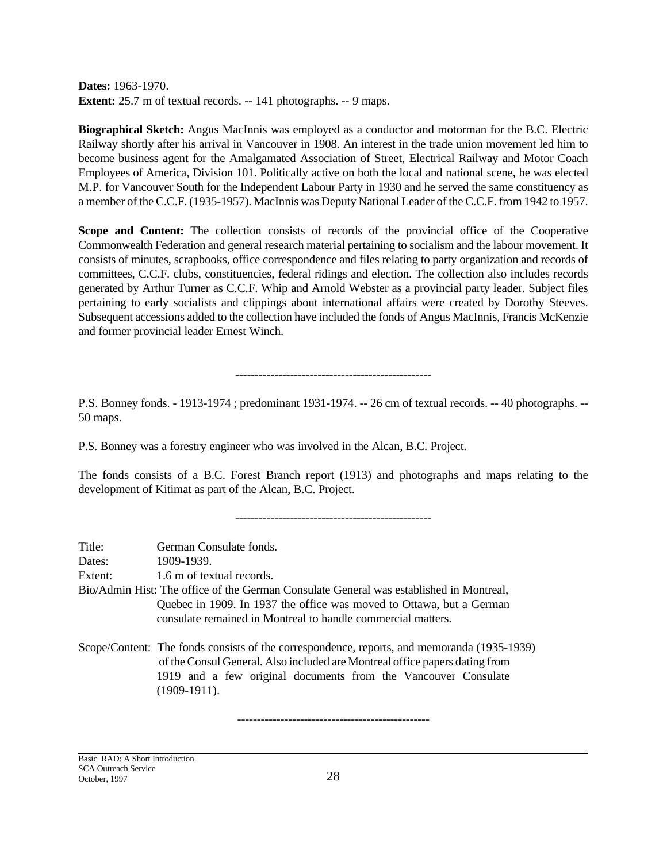**Dates:** 1963-1970. **Extent:** 25.7 m of textual records. -- 141 photographs. -- 9 maps.

**Biographical Sketch:** Angus MacInnis was employed as a conductor and motorman for the B.C. Electric Railway shortly after his arrival in Vancouver in 1908. An interest in the trade union movement led him to become business agent for the Amalgamated Association of Street, Electrical Railway and Motor Coach Employees of America, Division 101. Politically active on both the local and national scene, he was elected M.P. for Vancouver South for the Independent Labour Party in 1930 and he served the same constituency as a member of the C.C.F. (1935-1957). MacInnis was Deputy National Leader of the C.C.F. from 1942 to 1957.

**Scope and Content:** The collection consists of records of the provincial office of the Cooperative Commonwealth Federation and general research material pertaining to socialism and the labour movement. It consists of minutes, scrapbooks, office correspondence and files relating to party organization and records of committees, C.C.F. clubs, constituencies, federal ridings and election. The collection also includes records generated by Arthur Turner as C.C.F. Whip and Arnold Webster as a provincial party leader. Subject files pertaining to early socialists and clippings about international affairs were created by Dorothy Steeves. Subsequent accessions added to the collection have included the fonds of Angus MacInnis, Francis McKenzie and former provincial leader Ernest Winch.

--------------------------------------------------

P.S. Bonney fonds. - 1913-1974 ; predominant 1931-1974. -- 26 cm of textual records. -- 40 photographs. -- 50 maps.

P.S. Bonney was a forestry engineer who was involved in the Alcan, B.C. Project.

The fonds consists of a B.C. Forest Branch report (1913) and photographs and maps relating to the development of Kitimat as part of the Alcan, B.C. Project.

--------------------------------------------------

| Title:  | German Consulate fonds.                                                                                                                                                                                                                                        |
|---------|----------------------------------------------------------------------------------------------------------------------------------------------------------------------------------------------------------------------------------------------------------------|
| Dates:  | 1909-1939.                                                                                                                                                                                                                                                     |
| Extent: | 1.6 m of textual records.                                                                                                                                                                                                                                      |
|         | Bio/Admin Hist: The office of the German Consulate General was established in Montreal,                                                                                                                                                                        |
|         | Quebec in 1909. In 1937 the office was moved to Ottawa, but a German<br>consulate remained in Montreal to handle commercial matters.                                                                                                                           |
|         | Scope/Content: The fonds consists of the correspondence, reports, and memoranda (1935-1939)<br>of the Consul General. Also included are Montreal office papers dating from<br>1919 and a few original documents from the Vancouver Consulate<br>$(1909-1911).$ |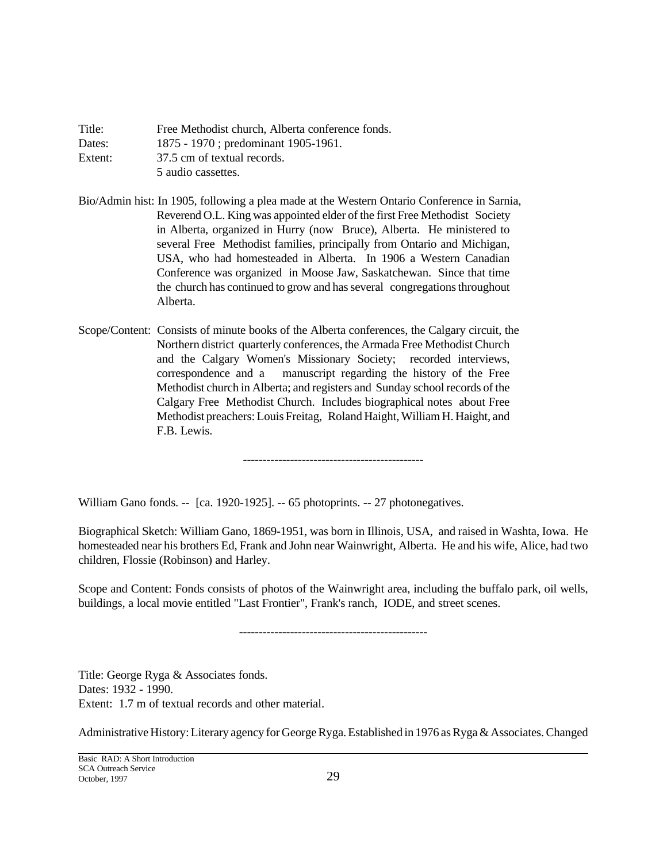| Title:  | Free Methodist church, Alberta conference fonds. |
|---------|--------------------------------------------------|
| Dates:  | 1875 - 1970; predominant 1905-1961.              |
| Extent: | 37.5 cm of textual records.                      |
|         | 5 audio cassettes.                               |

Bio/Admin hist: In 1905, following a plea made at the Western Ontario Conference in Sarnia, Reverend O.L. King was appointed elder of the first Free Methodist Society in Alberta, organized in Hurry (now Bruce), Alberta. He ministered to several Free Methodist families, principally from Ontario and Michigan, USA, who had homesteaded in Alberta. In 1906 a Western Canadian Conference was organized in Moose Jaw, Saskatchewan. Since that time the church has continued to grow and has several congregations throughout Alberta.

Scope/Content: Consists of minute books of the Alberta conferences, the Calgary circuit, the Northern district quarterly conferences, the Armada Free Methodist Church and the Calgary Women's Missionary Society; recorded interviews, correspondence and a manuscript regarding the history of the Free Methodist church in Alberta; and registers and Sunday school records of the Calgary Free Methodist Church. Includes biographical notes about Free Methodist preachers: Louis Freitag, Roland Haight, William H. Haight, and F.B. Lewis.

----------------------------------------------

William Gano fonds. -- [ca. 1920-1925]. -- 65 photoprints. -- 27 photonegatives.

Biographical Sketch: William Gano, 1869-1951, was born in Illinois, USA, and raised in Washta, Iowa. He homesteaded near his brothers Ed, Frank and John near Wainwright, Alberta. He and his wife, Alice, had two children, Flossie (Robinson) and Harley.

Scope and Content: Fonds consists of photos of the Wainwright area, including the buffalo park, oil wells, buildings, a local movie entitled "Last Frontier", Frank's ranch, IODE, and street scenes.

------------------------------------------------

Title: George Ryga & Associates fonds. Dates: 1932 - 1990. Extent: 1.7 m of textual records and other material.

Administrative History: Literary agency for George Ryga. Established in 1976 as Ryga & Associates. Changed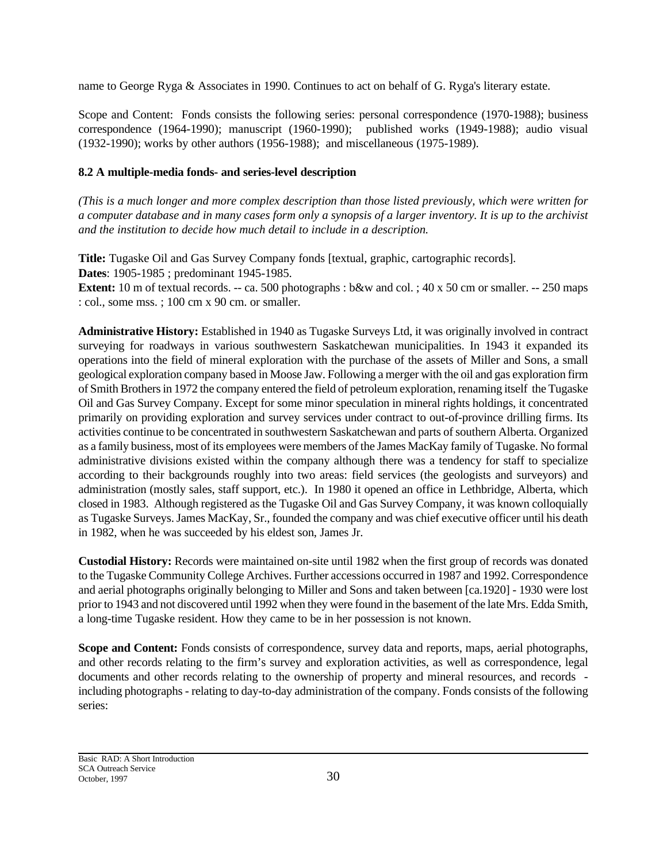name to George Ryga & Associates in 1990. Continues to act on behalf of G. Ryga's literary estate.

Scope and Content: Fonds consists the following series: personal correspondence (1970-1988); business correspondence (1964-1990); manuscript (1960-1990); published works (1949-1988); audio visual (1932-1990); works by other authors (1956-1988); and miscellaneous (1975-1989).

### **8.2 A multiple-media fonds- and series-level description**

*(This is a much longer and more complex description than those listed previously, which were written for a computer database and in many cases form only a synopsis of a larger inventory. It is up to the archivist and the institution to decide how much detail to include in a description.*

**Title:** Tugaske Oil and Gas Survey Company fonds [textual, graphic, cartographic records].

**Dates**: 1905-1985 ; predominant 1945-1985.

**Extent:** 10 m of textual records. -- ca. 500 photographs : b&w and col. ; 40 x 50 cm or smaller. -- 250 maps : col., some mss. ; 100 cm x 90 cm. or smaller.

**Administrative History:** Established in 1940 as Tugaske Surveys Ltd, it was originally involved in contract surveying for roadways in various southwestern Saskatchewan municipalities. In 1943 it expanded its operations into the field of mineral exploration with the purchase of the assets of Miller and Sons, a small geological exploration company based in Moose Jaw. Following a merger with the oil and gas exploration firm of Smith Brothers in 1972 the company entered the field of petroleum exploration, renaming itself the Tugaske Oil and Gas Survey Company. Except for some minor speculation in mineral rights holdings, it concentrated primarily on providing exploration and survey services under contract to out-of-province drilling firms. Its activities continue to be concentrated in southwestern Saskatchewan and parts of southern Alberta. Organized as a family business, most of its employees were members of the James MacKay family of Tugaske. No formal administrative divisions existed within the company although there was a tendency for staff to specialize according to their backgrounds roughly into two areas: field services (the geologists and surveyors) and administration (mostly sales, staff support, etc.). In 1980 it opened an office in Lethbridge, Alberta, which closed in 1983. Although registered as the Tugaske Oil and Gas Survey Company, it was known colloquially as Tugaske Surveys. James MacKay, Sr., founded the company and was chief executive officer until his death in 1982, when he was succeeded by his eldest son, James Jr.

**Custodial History:** Records were maintained on-site until 1982 when the first group of records was donated to the Tugaske Community College Archives. Further accessions occurred in 1987 and 1992. Correspondence and aerial photographs originally belonging to Miller and Sons and taken between [ca.1920] - 1930 were lost prior to 1943 and not discovered until 1992 when they were found in the basement of the late Mrs. Edda Smith, a long-time Tugaske resident. How they came to be in her possession is not known.

**Scope and Content:** Fonds consists of correspondence, survey data and reports, maps, aerial photographs, and other records relating to the firm's survey and exploration activities, as well as correspondence, legal documents and other records relating to the ownership of property and mineral resources, and records including photographs - relating to day-to-day administration of the company. Fonds consists of the following series: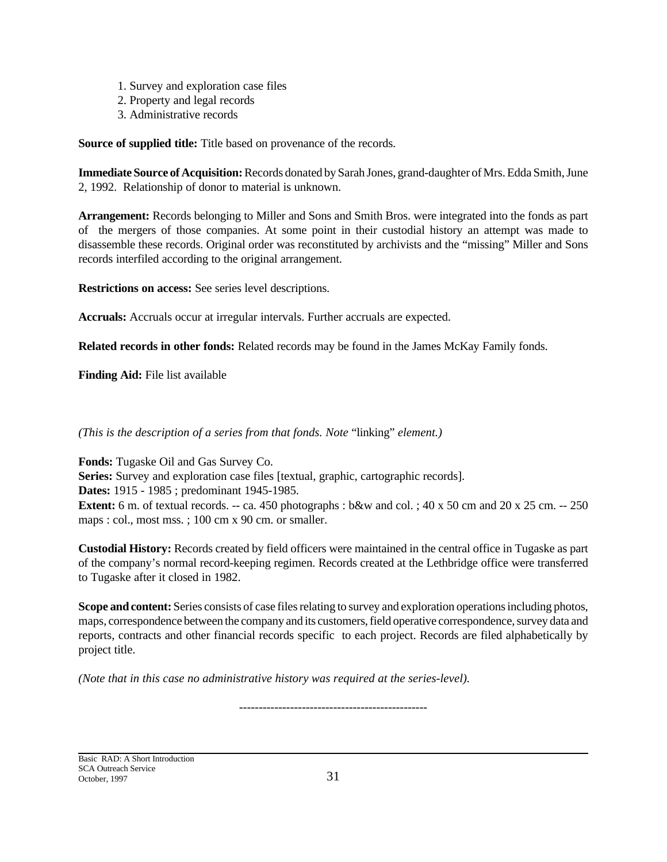- 1. Survey and exploration case files
- 2. Property and legal records
- 3. Administrative records

**Source of supplied title:** Title based on provenance of the records.

**Immediate Source of Acquisition:** Records donated by Sarah Jones, grand-daughter of Mrs. Edda Smith, June 2, 1992. Relationship of donor to material is unknown.

**Arrangement:** Records belonging to Miller and Sons and Smith Bros. were integrated into the fonds as part of the mergers of those companies. At some point in their custodial history an attempt was made to disassemble these records. Original order was reconstituted by archivists and the "missing" Miller and Sons records interfiled according to the original arrangement.

**Restrictions on access:** See series level descriptions.

**Accruals:** Accruals occur at irregular intervals. Further accruals are expected.

**Related records in other fonds:** Related records may be found in the James McKay Family fonds.

**Finding Aid:** File list available

*(This is the description of a series from that fonds. Note* "linking" *element.)*

**Fonds:** Tugaske Oil and Gas Survey Co. **Series:** Survey and exploration case files [textual, graphic, cartographic records]. **Dates:** 1915 - 1985 ; predominant 1945-1985. **Extent:** 6 m. of textual records. -- ca. 450 photographs : b&w and col. ; 40 x 50 cm and 20 x 25 cm. -- 250 maps : col., most mss. ; 100 cm x 90 cm. or smaller.

**Custodial History:** Records created by field officers were maintained in the central office in Tugaske as part of the company's normal record-keeping regimen. Records created at the Lethbridge office were transferred to Tugaske after it closed in 1982.

**Scope and content:** Series consists of case files relating to survey and exploration operations including photos, maps, correspondence between the company and its customers, field operative correspondence, survey data and reports, contracts and other financial records specific to each project. Records are filed alphabetically by project title.

*(Note that in this case no administrative history was required at the series-level).*

Basic RAD: A Short Introduction SCA Outreach Service October, 1997 31

------------------------------------------------